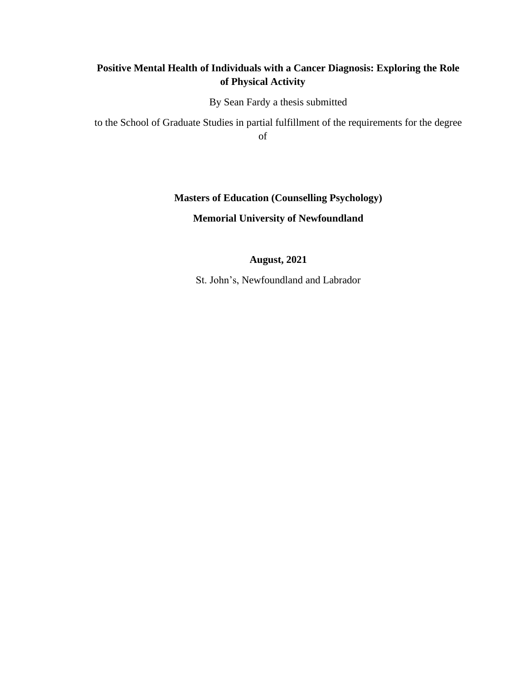# **Positive Mental Health of Individuals with a Cancer Diagnosis: Exploring the Role of Physical Activity**

By Sean Fardy a thesis submitted

to the School of Graduate Studies in partial fulfillment of the requirements for the degree of

# **Masters of Education (Counselling Psychology)**

# **Memorial University of Newfoundland**

# **August, 2021**

St. John's, Newfoundland and Labrador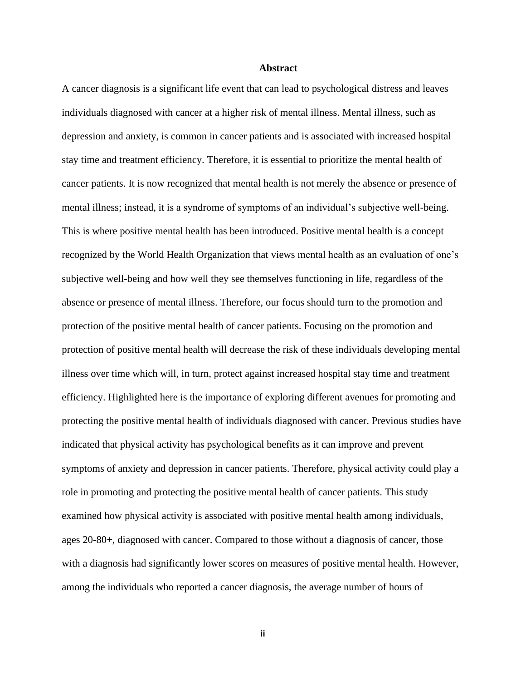#### **Abstract**

A cancer diagnosis is a significant life event that can lead to psychological distress and leaves individuals diagnosed with cancer at a higher risk of mental illness. Mental illness, such as depression and anxiety, is common in cancer patients and is associated with increased hospital stay time and treatment efficiency. Therefore, it is essential to prioritize the mental health of cancer patients. It is now recognized that mental health is not merely the absence or presence of mental illness; instead, it is a syndrome of symptoms of an individual's subjective well-being. This is where positive mental health has been introduced. Positive mental health is a concept recognized by the World Health Organization that views mental health as an evaluation of one's subjective well-being and how well they see themselves functioning in life, regardless of the absence or presence of mental illness. Therefore, our focus should turn to the promotion and protection of the positive mental health of cancer patients. Focusing on the promotion and protection of positive mental health will decrease the risk of these individuals developing mental illness over time which will, in turn, protect against increased hospital stay time and treatment efficiency. Highlighted here is the importance of exploring different avenues for promoting and protecting the positive mental health of individuals diagnosed with cancer. Previous studies have indicated that physical activity has psychological benefits as it can improve and prevent symptoms of anxiety and depression in cancer patients. Therefore, physical activity could play a role in promoting and protecting the positive mental health of cancer patients. This study examined how physical activity is associated with positive mental health among individuals, ages 20-80+, diagnosed with cancer. Compared to those without a diagnosis of cancer, those with a diagnosis had significantly lower scores on measures of positive mental health. However, among the individuals who reported a cancer diagnosis, the average number of hours of

**ii**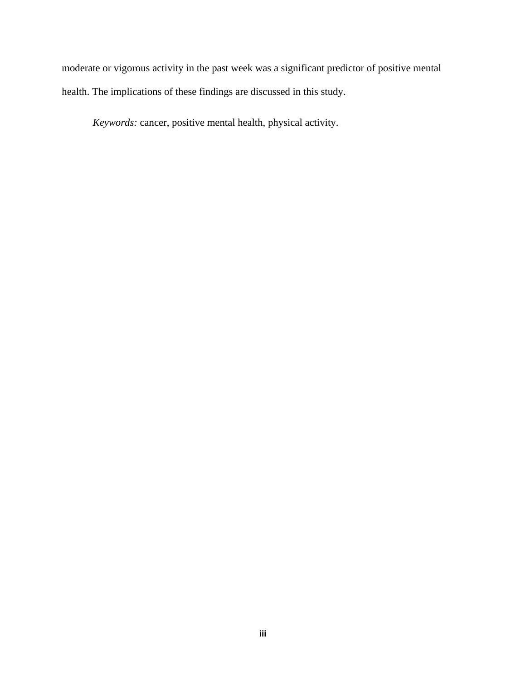moderate or vigorous activity in the past week was a significant predictor of positive mental health. The implications of these findings are discussed in this study.

*Keywords:* cancer, positive mental health, physical activity.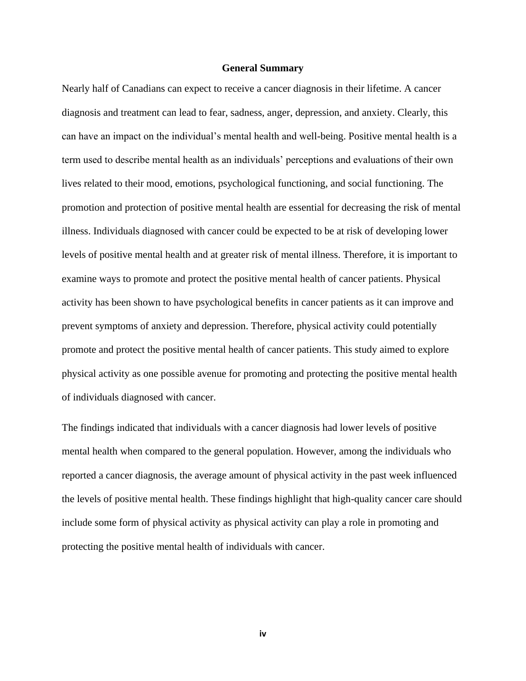#### **General Summary**

Nearly half of Canadians can expect to receive a cancer diagnosis in their lifetime. A cancer diagnosis and treatment can lead to fear, sadness, anger, depression, and anxiety. Clearly, this can have an impact on the individual's mental health and well-being. Positive mental health is a term used to describe mental health as an individuals' perceptions and evaluations of their own lives related to their mood, emotions, psychological functioning, and social functioning. The promotion and protection of positive mental health are essential for decreasing the risk of mental illness. Individuals diagnosed with cancer could be expected to be at risk of developing lower levels of positive mental health and at greater risk of mental illness. Therefore, it is important to examine ways to promote and protect the positive mental health of cancer patients. Physical activity has been shown to have psychological benefits in cancer patients as it can improve and prevent symptoms of anxiety and depression. Therefore, physical activity could potentially promote and protect the positive mental health of cancer patients. This study aimed to explore physical activity as one possible avenue for promoting and protecting the positive mental health of individuals diagnosed with cancer.

The findings indicated that individuals with a cancer diagnosis had lower levels of positive mental health when compared to the general population. However, among the individuals who reported a cancer diagnosis, the average amount of physical activity in the past week influenced the levels of positive mental health. These findings highlight that high-quality cancer care should include some form of physical activity as physical activity can play a role in promoting and protecting the positive mental health of individuals with cancer.

**iv**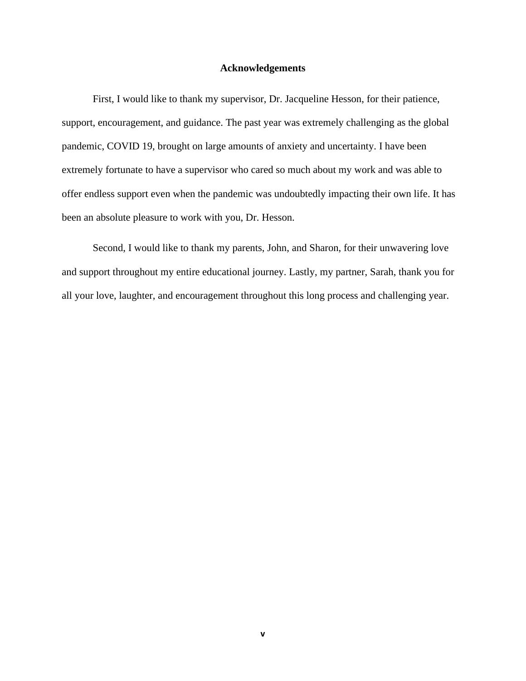#### **Acknowledgements**

First, I would like to thank my supervisor, Dr. Jacqueline Hesson, for their patience, support, encouragement, and guidance. The past year was extremely challenging as the global pandemic, COVID 19, brought on large amounts of anxiety and uncertainty. I have been extremely fortunate to have a supervisor who cared so much about my work and was able to offer endless support even when the pandemic was undoubtedly impacting their own life. It has been an absolute pleasure to work with you, Dr. Hesson.

Second, I would like to thank my parents, John, and Sharon, for their unwavering love and support throughout my entire educational journey. Lastly, my partner, Sarah, thank you for all your love, laughter, and encouragement throughout this long process and challenging year.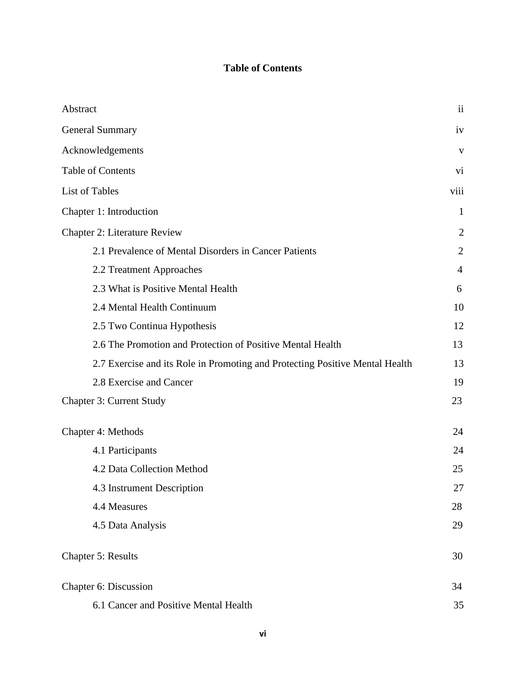# **Table of Contents**

| Abstract                                                                     | $\overline{\mathbf{u}}$ |
|------------------------------------------------------------------------------|-------------------------|
| <b>General Summary</b>                                                       | iv                      |
| Acknowledgements                                                             | V                       |
| <b>Table of Contents</b>                                                     | vi                      |
| List of Tables                                                               | viii                    |
| Chapter 1: Introduction                                                      | 1                       |
| <b>Chapter 2: Literature Review</b>                                          | $\overline{2}$          |
| 2.1 Prevalence of Mental Disorders in Cancer Patients                        | $\overline{2}$          |
| 2.2 Treatment Approaches                                                     | $\overline{4}$          |
| 2.3 What is Positive Mental Health                                           | 6                       |
| 2.4 Mental Health Continuum                                                  | 10                      |
| 2.5 Two Continua Hypothesis                                                  | 12                      |
| 2.6 The Promotion and Protection of Positive Mental Health                   | 13                      |
| 2.7 Exercise and its Role in Promoting and Protecting Positive Mental Health | 13                      |
| 2.8 Exercise and Cancer                                                      | 19                      |
| <b>Chapter 3: Current Study</b>                                              | 23                      |
| Chapter 4: Methods                                                           | 24                      |
| 4.1 Participants                                                             | 24                      |
| 4.2 Data Collection Method                                                   | 25                      |
| 4.3 Instrument Description                                                   | 27                      |
| 4.4 Measures                                                                 | 28                      |
| 4.5 Data Analysis                                                            | 29                      |
| <b>Chapter 5: Results</b>                                                    | 30                      |
| Chapter 6: Discussion                                                        | 34                      |
| 6.1 Cancer and Positive Mental Health                                        | 35                      |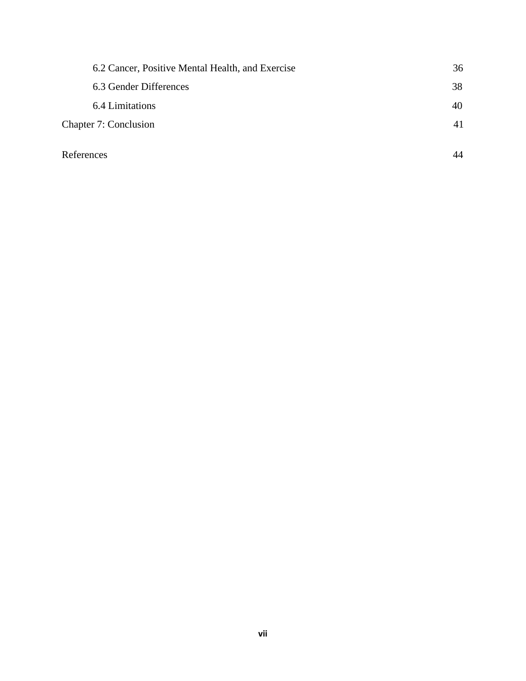| 6.2 Cancer, Positive Mental Health, and Exercise | 36 |
|--------------------------------------------------|----|
| 6.3 Gender Differences                           | 38 |
| 6.4 Limitations                                  | 40 |
| Chapter 7: Conclusion                            | 41 |
| References                                       | 44 |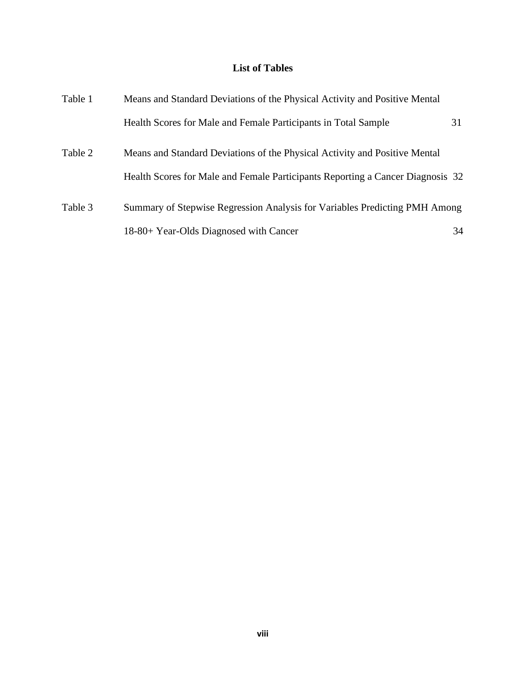# **List of Tables**

| Table 1 | Means and Standard Deviations of the Physical Activity and Positive Mental     |    |  |  |  |
|---------|--------------------------------------------------------------------------------|----|--|--|--|
|         | Health Scores for Male and Female Participants in Total Sample                 | 31 |  |  |  |
| Table 2 | Means and Standard Deviations of the Physical Activity and Positive Mental     |    |  |  |  |
|         | Health Scores for Male and Female Participants Reporting a Cancer Diagnosis 32 |    |  |  |  |
| Table 3 | Summary of Stepwise Regression Analysis for Variables Predicting PMH Among     |    |  |  |  |
|         | 18-80+ Year-Olds Diagnosed with Cancer                                         | 34 |  |  |  |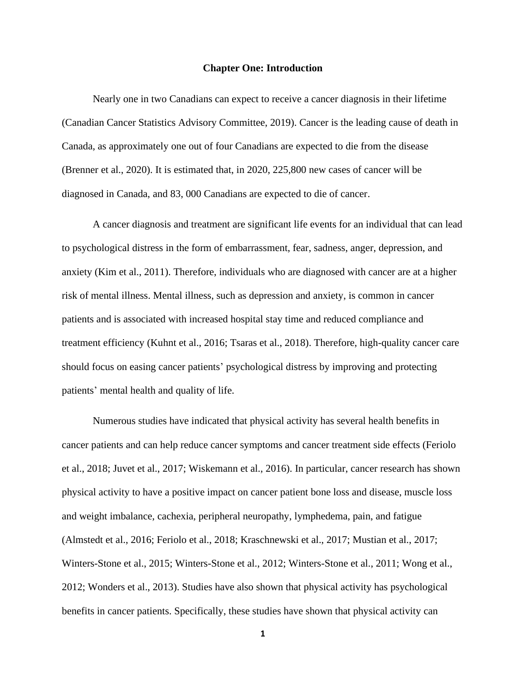#### **Chapter One: Introduction**

Nearly one in two Canadians can expect to receive a cancer diagnosis in their lifetime (Canadian Cancer Statistics Advisory Committee, 2019). Cancer is the leading cause of death in Canada, as approximately one out of four Canadians are expected to die from the disease (Brenner et al., 2020). It is estimated that, in 2020, 225,800 new cases of cancer will be diagnosed in Canada, and 83, 000 Canadians are expected to die of cancer.

A cancer diagnosis and treatment are significant life events for an individual that can lead to psychological distress in the form of embarrassment, fear, sadness, anger, depression, and anxiety (Kim et al., 2011). Therefore, individuals who are diagnosed with cancer are at a higher risk of mental illness. Mental illness, such as depression and anxiety, is common in cancer patients and is associated with increased hospital stay time and reduced compliance and treatment efficiency (Kuhnt et al., 2016; Tsaras et al., 2018). Therefore, high-quality cancer care should focus on easing cancer patients' psychological distress by improving and protecting patients' mental health and quality of life.

Numerous studies have indicated that physical activity has several health benefits in cancer patients and can help reduce cancer symptoms and cancer treatment side effects (Feriolo et al., 2018; Juvet et al., 2017; Wiskemann et al., 2016). In particular, cancer research has shown physical activity to have a positive impact on cancer patient bone loss and disease, muscle loss and weight imbalance, cachexia, peripheral neuropathy, lymphedema, pain, and fatigue (Almstedt et al., 2016; Feriolo et al., 2018; Kraschnewski et al., 2017; Mustian et al., 2017; Winters-Stone et al., 2015; Winters-Stone et al., 2012; Winters-Stone et al., 2011; Wong et al., 2012; Wonders et al., 2013). Studies have also shown that physical activity has psychological benefits in cancer patients. Specifically, these studies have shown that physical activity can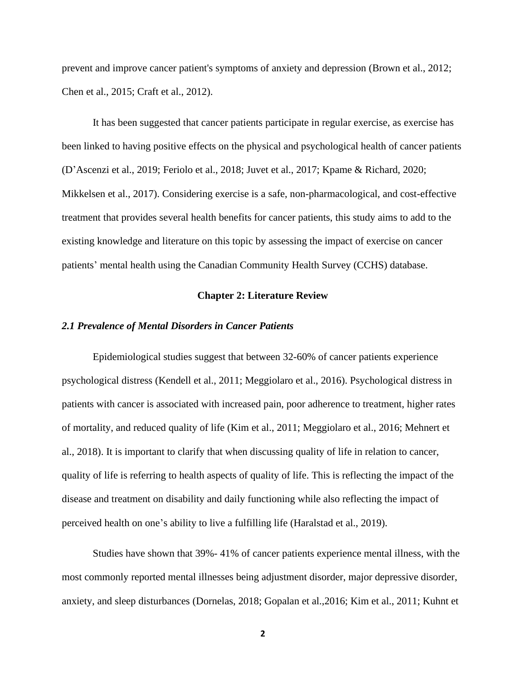prevent and improve cancer patient's symptoms of anxiety and depression (Brown et al., 2012; Chen et al., 2015; Craft et al., 2012).

It has been suggested that cancer patients participate in regular exercise, as exercise has been linked to having positive effects on the physical and psychological health of cancer patients (D'Ascenzi et al., 2019; Feriolo et al., 2018; Juvet et al., 2017; Kpame & Richard, 2020; Mikkelsen et al., 2017). Considering exercise is a safe, non-pharmacological, and cost-effective treatment that provides several health benefits for cancer patients, this study aims to add to the existing knowledge and literature on this topic by assessing the impact of exercise on cancer patients' mental health using the Canadian Community Health Survey (CCHS) database.

### **Chapter 2: Literature Review**

#### *2.1 Prevalence of Mental Disorders in Cancer Patients*

Epidemiological studies suggest that between 32-60% of cancer patients experience psychological distress (Kendell et al., 2011; Meggiolaro et al., 2016). Psychological distress in patients with cancer is associated with increased pain, poor adherence to treatment, higher rates of mortality, and reduced quality of life (Kim et al., 2011; Meggiolaro et al., 2016; Mehnert et al., 2018). It is important to clarify that when discussing quality of life in relation to cancer, quality of life is referring to health aspects of quality of life. This is reflecting the impact of the disease and treatment on disability and daily functioning while also reflecting the impact of perceived health on one's ability to live a fulfilling life (Haralstad et al., 2019).

Studies have shown that 39%- 41% of cancer patients experience mental illness, with the most commonly reported mental illnesses being adjustment disorder, major depressive disorder, anxiety, and sleep disturbances (Dornelas, 2018; Gopalan et al.,2016; Kim et al., 2011; Kuhnt et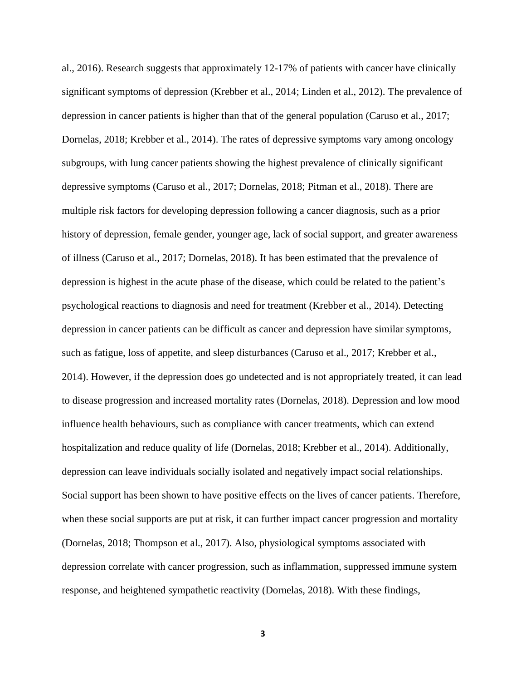al., 2016). Research suggests that approximately 12-17% of patients with cancer have clinically significant symptoms of depression (Krebber et al., 2014; Linden et al., 2012). The prevalence of depression in cancer patients is higher than that of the general population (Caruso et al., 2017; Dornelas, 2018; Krebber et al., 2014). The rates of depressive symptoms vary among oncology subgroups, with lung cancer patients showing the highest prevalence of clinically significant depressive symptoms (Caruso et al., 2017; Dornelas, 2018; Pitman et al., 2018). There are multiple risk factors for developing depression following a cancer diagnosis, such as a prior history of depression, female gender, younger age, lack of social support, and greater awareness of illness (Caruso et al., 2017; Dornelas, 2018). It has been estimated that the prevalence of depression is highest in the acute phase of the disease, which could be related to the patient's psychological reactions to diagnosis and need for treatment (Krebber et al., 2014). Detecting depression in cancer patients can be difficult as cancer and depression have similar symptoms, such as fatigue, loss of appetite, and sleep disturbances (Caruso et al., 2017; Krebber et al., 2014). However, if the depression does go undetected and is not appropriately treated, it can lead to disease progression and increased mortality rates (Dornelas, 2018). Depression and low mood influence health behaviours, such as compliance with cancer treatments, which can extend hospitalization and reduce quality of life (Dornelas, 2018; Krebber et al., 2014). Additionally, depression can leave individuals socially isolated and negatively impact social relationships. Social support has been shown to have positive effects on the lives of cancer patients. Therefore, when these social supports are put at risk, it can further impact cancer progression and mortality (Dornelas, 2018; Thompson et al., 2017). Also, physiological symptoms associated with depression correlate with cancer progression, such as inflammation, suppressed immune system response, and heightened sympathetic reactivity (Dornelas, 2018). With these findings,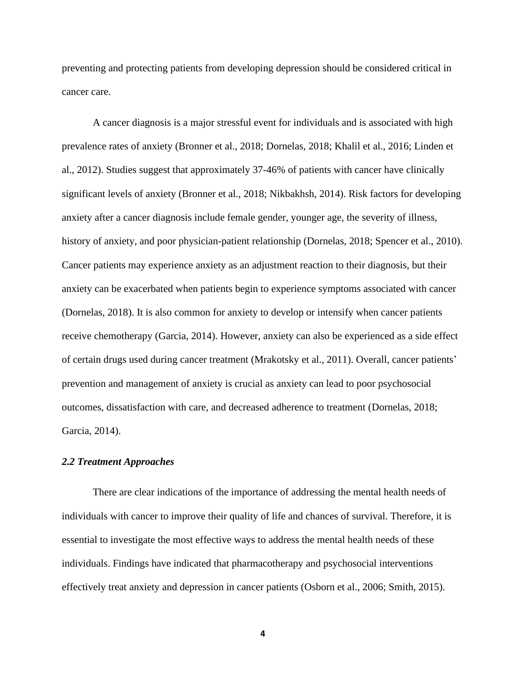preventing and protecting patients from developing depression should be considered critical in cancer care.

A cancer diagnosis is a major stressful event for individuals and is associated with high prevalence rates of anxiety (Bronner et al., 2018; Dornelas, 2018; Khalil et al., 2016; Linden et al., 2012). Studies suggest that approximately 37-46% of patients with cancer have clinically significant levels of anxiety (Bronner et al., 2018; Nikbakhsh, 2014). Risk factors for developing anxiety after a cancer diagnosis include female gender, younger age, the severity of illness, history of anxiety, and poor physician-patient relationship (Dornelas, 2018; Spencer et al., 2010). Cancer patients may experience anxiety as an adjustment reaction to their diagnosis, but their anxiety can be exacerbated when patients begin to experience symptoms associated with cancer (Dornelas, 2018). It is also common for anxiety to develop or intensify when cancer patients receive chemotherapy (Garcia, 2014). However, anxiety can also be experienced as a side effect of certain drugs used during cancer treatment (Mrakotsky et al., 2011). Overall, cancer patients' prevention and management of anxiety is crucial as anxiety can lead to poor psychosocial outcomes, dissatisfaction with care, and decreased adherence to treatment (Dornelas, 2018; Garcia, 2014).

## *2.2 Treatment Approaches*

There are clear indications of the importance of addressing the mental health needs of individuals with cancer to improve their quality of life and chances of survival. Therefore, it is essential to investigate the most effective ways to address the mental health needs of these individuals. Findings have indicated that pharmacotherapy and psychosocial interventions effectively treat anxiety and depression in cancer patients (Osborn et al., 2006; Smith, 2015).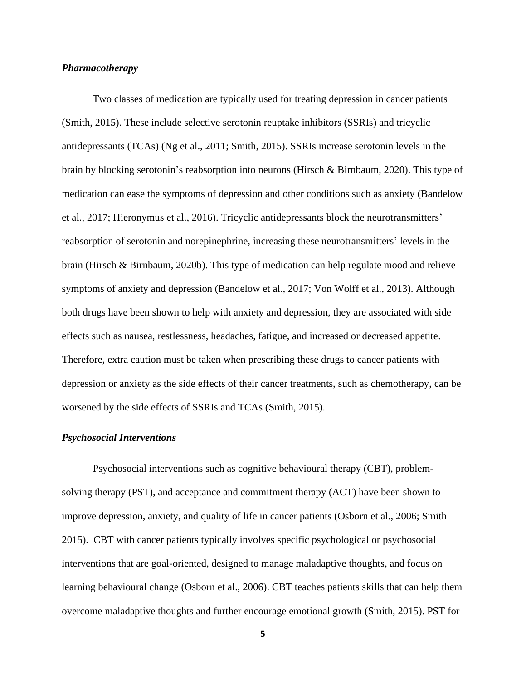## *Pharmacotherapy*

Two classes of medication are typically used for treating depression in cancer patients (Smith, 2015). These include selective serotonin reuptake inhibitors (SSRIs) and tricyclic antidepressants (TCAs) (Ng et al., 2011; Smith, 2015). SSRIs increase serotonin levels in the brain by blocking serotonin's reabsorption into neurons (Hirsch & Birnbaum, 2020). This type of medication can ease the symptoms of depression and other conditions such as anxiety (Bandelow et al., 2017; Hieronymus et al., 2016). Tricyclic antidepressants block the neurotransmitters' reabsorption of serotonin and norepinephrine, increasing these neurotransmitters' levels in the brain (Hirsch & Birnbaum, 2020b). This type of medication can help regulate mood and relieve symptoms of anxiety and depression (Bandelow et al., 2017; Von Wolff et al., 2013). Although both drugs have been shown to help with anxiety and depression, they are associated with side effects such as nausea, restlessness, headaches, fatigue, and increased or decreased appetite. Therefore, extra caution must be taken when prescribing these drugs to cancer patients with depression or anxiety as the side effects of their cancer treatments, such as chemotherapy, can be worsened by the side effects of SSRIs and TCAs (Smith, 2015).

#### *Psychosocial Interventions*

Psychosocial interventions such as cognitive behavioural therapy (CBT), problemsolving therapy (PST), and acceptance and commitment therapy (ACT) have been shown to improve depression, anxiety, and quality of life in cancer patients (Osborn et al., 2006; Smith 2015). CBT with cancer patients typically involves specific psychological or psychosocial interventions that are goal-oriented, designed to manage maladaptive thoughts, and focus on learning behavioural change (Osborn et al., 2006). CBT teaches patients skills that can help them overcome maladaptive thoughts and further encourage emotional growth (Smith, 2015). PST for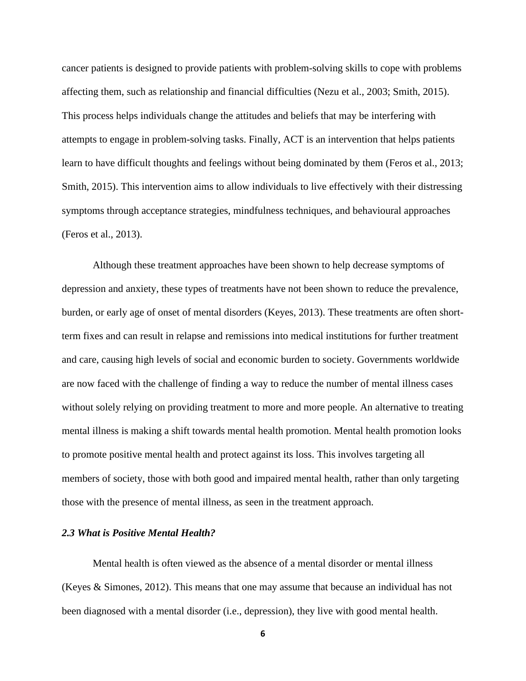cancer patients is designed to provide patients with problem-solving skills to cope with problems affecting them, such as relationship and financial difficulties (Nezu et al., 2003; Smith, 2015). This process helps individuals change the attitudes and beliefs that may be interfering with attempts to engage in problem-solving tasks. Finally, ACT is an intervention that helps patients learn to have difficult thoughts and feelings without being dominated by them (Feros et al., 2013; Smith, 2015). This intervention aims to allow individuals to live effectively with their distressing symptoms through acceptance strategies, mindfulness techniques, and behavioural approaches (Feros et al., 2013).

Although these treatment approaches have been shown to help decrease symptoms of depression and anxiety, these types of treatments have not been shown to reduce the prevalence, burden, or early age of onset of mental disorders (Keyes, 2013). These treatments are often shortterm fixes and can result in relapse and remissions into medical institutions for further treatment and care, causing high levels of social and economic burden to society. Governments worldwide are now faced with the challenge of finding a way to reduce the number of mental illness cases without solely relying on providing treatment to more and more people. An alternative to treating mental illness is making a shift towards mental health promotion. Mental health promotion looks to promote positive mental health and protect against its loss. This involves targeting all members of society, those with both good and impaired mental health, rather than only targeting those with the presence of mental illness, as seen in the treatment approach.

## *2.3 What is Positive Mental Health?*

Mental health is often viewed as the absence of a mental disorder or mental illness (Keyes & Simones, 2012). This means that one may assume that because an individual has not been diagnosed with a mental disorder (i.e., depression), they live with good mental health.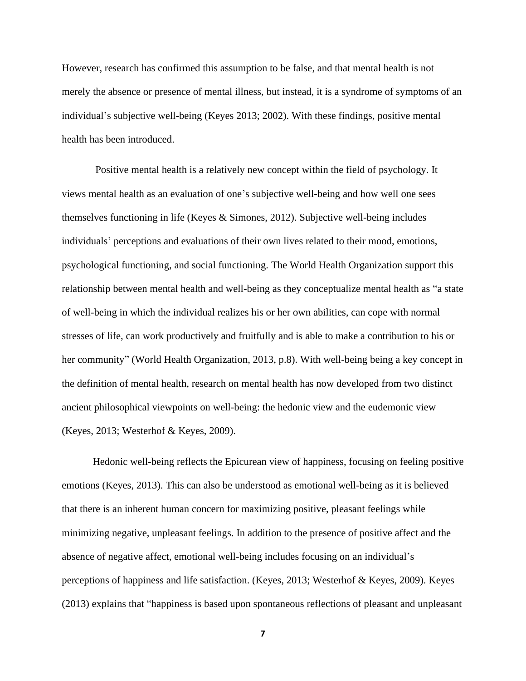However, research has confirmed this assumption to be false, and that mental health is not merely the absence or presence of mental illness, but instead, it is a syndrome of symptoms of an individual's subjective well-being (Keyes 2013; 2002). With these findings, positive mental health has been introduced.

Positive mental health is a relatively new concept within the field of psychology. It views mental health as an evaluation of one's subjective well-being and how well one sees themselves functioning in life (Keyes & Simones, 2012). Subjective well-being includes individuals' perceptions and evaluations of their own lives related to their mood, emotions, psychological functioning, and social functioning. The World Health Organization support this relationship between mental health and well-being as they conceptualize mental health as "a state of well-being in which the individual realizes his or her own abilities, can cope with normal stresses of life, can work productively and fruitfully and is able to make a contribution to his or her community" (World Health Organization, 2013, p.8). With well-being being a key concept in the definition of mental health, research on mental health has now developed from two distinct ancient philosophical viewpoints on well-being: the hedonic view and the eudemonic view (Keyes, 2013; Westerhof & Keyes, 2009).

Hedonic well-being reflects the Epicurean view of happiness, focusing on feeling positive emotions (Keyes, 2013). This can also be understood as emotional well-being as it is believed that there is an inherent human concern for maximizing positive, pleasant feelings while minimizing negative, unpleasant feelings. In addition to the presence of positive affect and the absence of negative affect, emotional well-being includes focusing on an individual's perceptions of happiness and life satisfaction. (Keyes, 2013; Westerhof & Keyes, 2009). Keyes (2013) explains that "happiness is based upon spontaneous reflections of pleasant and unpleasant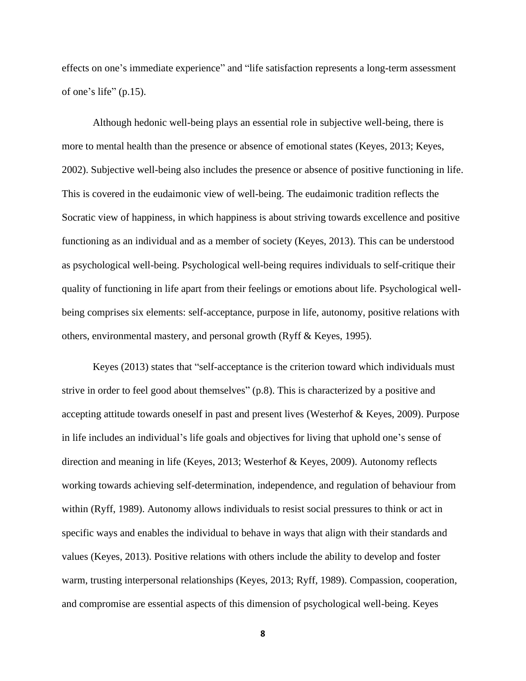effects on one's immediate experience" and "life satisfaction represents a long-term assessment of one's life" (p.15).

Although hedonic well-being plays an essential role in subjective well-being, there is more to mental health than the presence or absence of emotional states (Keyes, 2013; Keyes, 2002). Subjective well-being also includes the presence or absence of positive functioning in life. This is covered in the eudaimonic view of well-being. The eudaimonic tradition reflects the Socratic view of happiness, in which happiness is about striving towards excellence and positive functioning as an individual and as a member of society (Keyes, 2013). This can be understood as psychological well-being. Psychological well-being requires individuals to self-critique their quality of functioning in life apart from their feelings or emotions about life. Psychological wellbeing comprises six elements: self-acceptance, purpose in life, autonomy, positive relations with others, environmental mastery, and personal growth (Ryff & Keyes, 1995).

Keyes (2013) states that "self-acceptance is the criterion toward which individuals must strive in order to feel good about themselves" (p.8). This is characterized by a positive and accepting attitude towards oneself in past and present lives (Westerhof & Keyes, 2009). Purpose in life includes an individual's life goals and objectives for living that uphold one's sense of direction and meaning in life (Keyes, 2013; Westerhof & Keyes, 2009). Autonomy reflects working towards achieving self-determination, independence, and regulation of behaviour from within (Ryff, 1989). Autonomy allows individuals to resist social pressures to think or act in specific ways and enables the individual to behave in ways that align with their standards and values (Keyes, 2013). Positive relations with others include the ability to develop and foster warm, trusting interpersonal relationships (Keyes, 2013; Ryff, 1989). Compassion, cooperation, and compromise are essential aspects of this dimension of psychological well-being. Keyes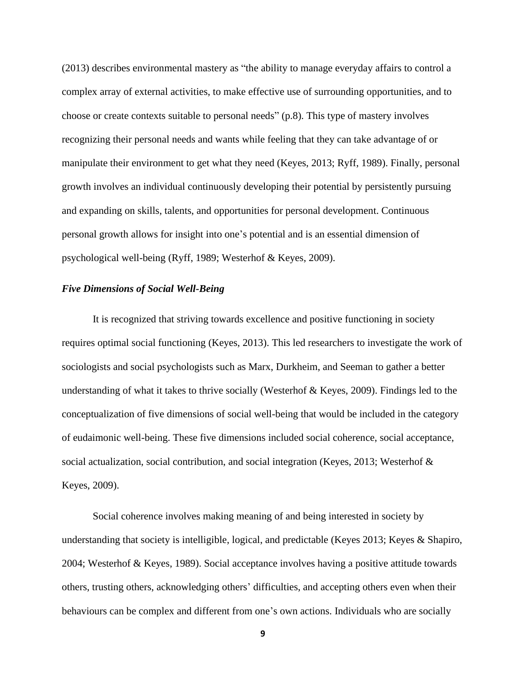(2013) describes environmental mastery as "the ability to manage everyday affairs to control a complex array of external activities, to make effective use of surrounding opportunities, and to choose or create contexts suitable to personal needs" (p.8). This type of mastery involves recognizing their personal needs and wants while feeling that they can take advantage of or manipulate their environment to get what they need (Keyes, 2013; Ryff, 1989). Finally, personal growth involves an individual continuously developing their potential by persistently pursuing and expanding on skills, talents, and opportunities for personal development. Continuous personal growth allows for insight into one's potential and is an essential dimension of psychological well-being (Ryff, 1989; Westerhof & Keyes, 2009).

## *Five Dimensions of Social Well-Being*

It is recognized that striving towards excellence and positive functioning in society requires optimal social functioning (Keyes, 2013). This led researchers to investigate the work of sociologists and social psychologists such as Marx, Durkheim, and Seeman to gather a better understanding of what it takes to thrive socially (Westerhof & Keyes, 2009). Findings led to the conceptualization of five dimensions of social well-being that would be included in the category of eudaimonic well-being. These five dimensions included social coherence, social acceptance, social actualization, social contribution, and social integration (Keyes, 2013; Westerhof & Keyes, 2009).

Social coherence involves making meaning of and being interested in society by understanding that society is intelligible, logical, and predictable (Keyes 2013; Keyes & Shapiro, 2004; Westerhof & Keyes, 1989). Social acceptance involves having a positive attitude towards others, trusting others, acknowledging others' difficulties, and accepting others even when their behaviours can be complex and different from one's own actions. Individuals who are socially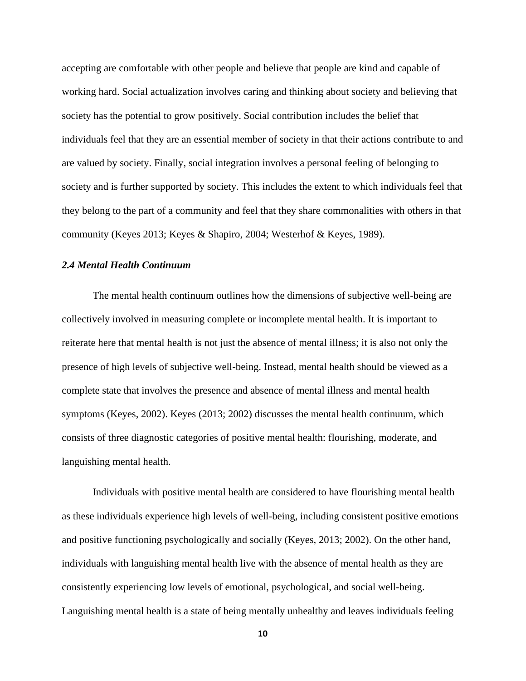accepting are comfortable with other people and believe that people are kind and capable of working hard. Social actualization involves caring and thinking about society and believing that society has the potential to grow positively. Social contribution includes the belief that individuals feel that they are an essential member of society in that their actions contribute to and are valued by society. Finally, social integration involves a personal feeling of belonging to society and is further supported by society. This includes the extent to which individuals feel that they belong to the part of a community and feel that they share commonalities with others in that community (Keyes 2013; Keyes & Shapiro, 2004; Westerhof & Keyes, 1989).

# *2.4 Mental Health Continuum*

The mental health continuum outlines how the dimensions of subjective well-being are collectively involved in measuring complete or incomplete mental health. It is important to reiterate here that mental health is not just the absence of mental illness; it is also not only the presence of high levels of subjective well-being. Instead, mental health should be viewed as a complete state that involves the presence and absence of mental illness and mental health symptoms (Keyes, 2002). Keyes (2013; 2002) discusses the mental health continuum, which consists of three diagnostic categories of positive mental health: flourishing, moderate, and languishing mental health.

Individuals with positive mental health are considered to have flourishing mental health as these individuals experience high levels of well-being, including consistent positive emotions and positive functioning psychologically and socially (Keyes, 2013; 2002). On the other hand, individuals with languishing mental health live with the absence of mental health as they are consistently experiencing low levels of emotional, psychological, and social well-being. Languishing mental health is a state of being mentally unhealthy and leaves individuals feeling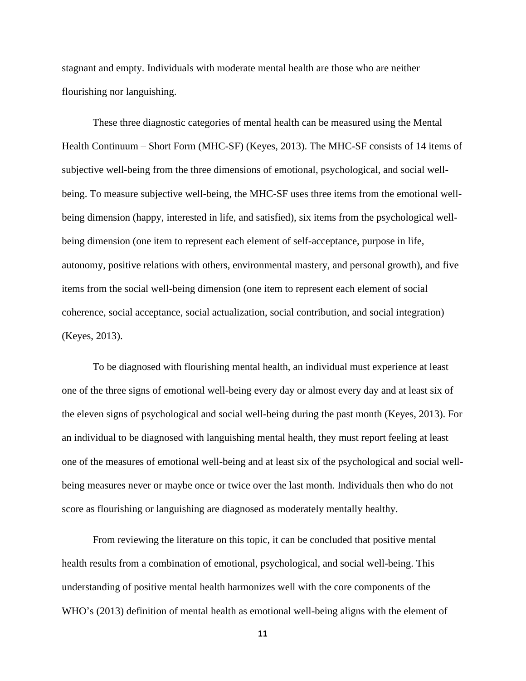stagnant and empty. Individuals with moderate mental health are those who are neither flourishing nor languishing.

These three diagnostic categories of mental health can be measured using the Mental Health Continuum – Short Form (MHC-SF) (Keyes, 2013). The MHC-SF consists of 14 items of subjective well-being from the three dimensions of emotional, psychological, and social wellbeing. To measure subjective well-being, the MHC-SF uses three items from the emotional wellbeing dimension (happy, interested in life, and satisfied), six items from the psychological wellbeing dimension (one item to represent each element of self-acceptance, purpose in life, autonomy, positive relations with others, environmental mastery, and personal growth), and five items from the social well-being dimension (one item to represent each element of social coherence, social acceptance, social actualization, social contribution, and social integration) (Keyes, 2013).

To be diagnosed with flourishing mental health, an individual must experience at least one of the three signs of emotional well-being every day or almost every day and at least six of the eleven signs of psychological and social well-being during the past month (Keyes, 2013). For an individual to be diagnosed with languishing mental health, they must report feeling at least one of the measures of emotional well-being and at least six of the psychological and social wellbeing measures never or maybe once or twice over the last month. Individuals then who do not score as flourishing or languishing are diagnosed as moderately mentally healthy.

From reviewing the literature on this topic, it can be concluded that positive mental health results from a combination of emotional, psychological, and social well-being. This understanding of positive mental health harmonizes well with the core components of the WHO's (2013) definition of mental health as emotional well-being aligns with the element of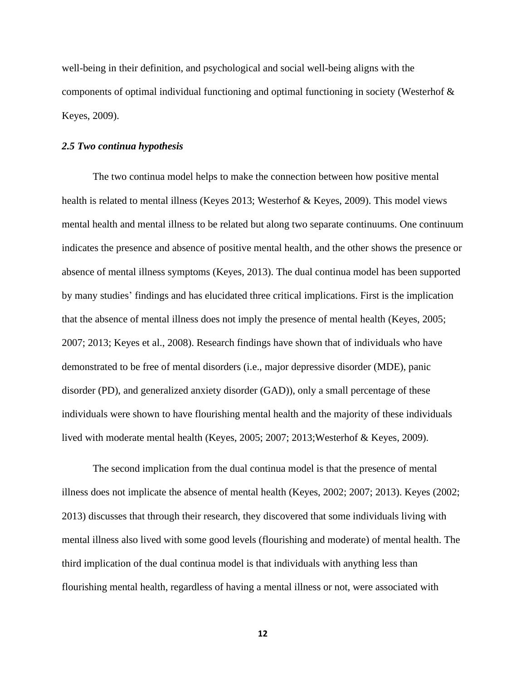well-being in their definition, and psychological and social well-being aligns with the components of optimal individual functioning and optimal functioning in society (Westerhof & Keyes, 2009).

## *2.5 Two continua hypothesis*

The two continua model helps to make the connection between how positive mental health is related to mental illness (Keyes 2013; Westerhof & Keyes, 2009). This model views mental health and mental illness to be related but along two separate continuums. One continuum indicates the presence and absence of positive mental health, and the other shows the presence or absence of mental illness symptoms (Keyes, 2013). The dual continua model has been supported by many studies' findings and has elucidated three critical implications. First is the implication that the absence of mental illness does not imply the presence of mental health (Keyes, 2005; 2007; 2013; Keyes et al., 2008). Research findings have shown that of individuals who have demonstrated to be free of mental disorders (i.e., major depressive disorder (MDE), panic disorder (PD), and generalized anxiety disorder (GAD)), only a small percentage of these individuals were shown to have flourishing mental health and the majority of these individuals lived with moderate mental health (Keyes, 2005; 2007; 2013;Westerhof & Keyes, 2009).

The second implication from the dual continua model is that the presence of mental illness does not implicate the absence of mental health (Keyes, 2002; 2007; 2013). Keyes (2002; 2013) discusses that through their research, they discovered that some individuals living with mental illness also lived with some good levels (flourishing and moderate) of mental health. The third implication of the dual continua model is that individuals with anything less than flourishing mental health, regardless of having a mental illness or not, were associated with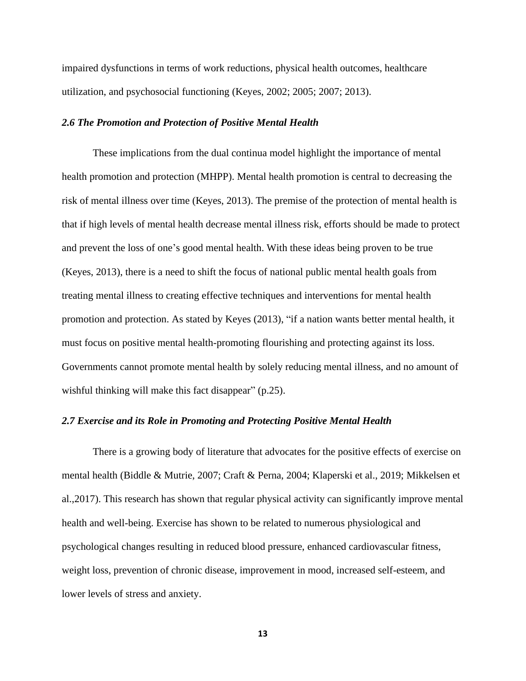impaired dysfunctions in terms of work reductions, physical health outcomes, healthcare utilization, and psychosocial functioning (Keyes, 2002; 2005; 2007; 2013).

## *2.6 The Promotion and Protection of Positive Mental Health*

These implications from the dual continua model highlight the importance of mental health promotion and protection (MHPP). Mental health promotion is central to decreasing the risk of mental illness over time (Keyes, 2013). The premise of the protection of mental health is that if high levels of mental health decrease mental illness risk, efforts should be made to protect and prevent the loss of one's good mental health. With these ideas being proven to be true (Keyes, 2013), there is a need to shift the focus of national public mental health goals from treating mental illness to creating effective techniques and interventions for mental health promotion and protection. As stated by Keyes (2013), "if a nation wants better mental health, it must focus on positive mental health-promoting flourishing and protecting against its loss. Governments cannot promote mental health by solely reducing mental illness, and no amount of wishful thinking will make this fact disappear" (p.25).

## *2.7 Exercise and its Role in Promoting and Protecting Positive Mental Health*

There is a growing body of literature that advocates for the positive effects of exercise on mental health (Biddle & Mutrie, 2007; Craft & Perna, 2004; Klaperski et al., 2019; Mikkelsen et al.,2017). This research has shown that regular physical activity can significantly improve mental health and well-being. Exercise has shown to be related to numerous physiological and psychological changes resulting in reduced blood pressure, enhanced cardiovascular fitness, weight loss, prevention of chronic disease, improvement in mood, increased self-esteem, and lower levels of stress and anxiety.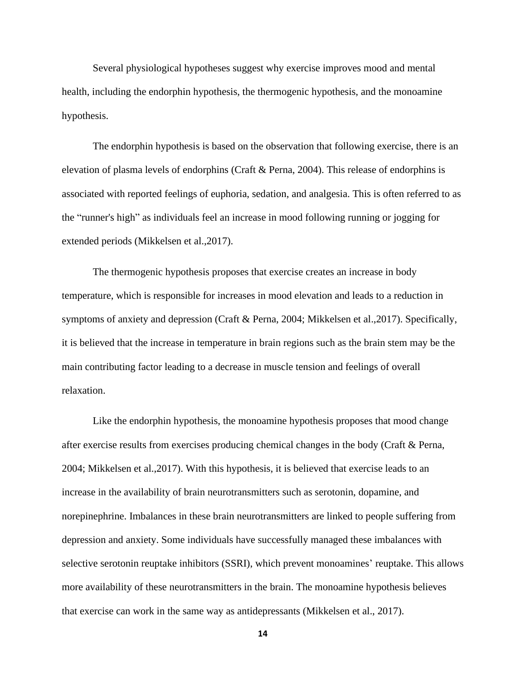Several physiological hypotheses suggest why exercise improves mood and mental health, including the endorphin hypothesis, the thermogenic hypothesis, and the monoamine hypothesis.

The endorphin hypothesis is based on the observation that following exercise, there is an elevation of plasma levels of endorphins (Craft & Perna, 2004). This release of endorphins is associated with reported feelings of euphoria, sedation, and analgesia. This is often referred to as the "runner's high" as individuals feel an increase in mood following running or jogging for extended periods (Mikkelsen et al.,2017).

The thermogenic hypothesis proposes that exercise creates an increase in body temperature, which is responsible for increases in mood elevation and leads to a reduction in symptoms of anxiety and depression (Craft & Perna, 2004; Mikkelsen et al.,2017). Specifically, it is believed that the increase in temperature in brain regions such as the brain stem may be the main contributing factor leading to a decrease in muscle tension and feelings of overall relaxation.

Like the endorphin hypothesis, the monoamine hypothesis proposes that mood change after exercise results from exercises producing chemical changes in the body (Craft & Perna, 2004; Mikkelsen et al.,2017). With this hypothesis, it is believed that exercise leads to an increase in the availability of brain neurotransmitters such as serotonin, dopamine, and norepinephrine. Imbalances in these brain neurotransmitters are linked to people suffering from depression and anxiety. Some individuals have successfully managed these imbalances with selective serotonin reuptake inhibitors (SSRI), which prevent monoamines' reuptake. This allows more availability of these neurotransmitters in the brain. The monoamine hypothesis believes that exercise can work in the same way as antidepressants (Mikkelsen et al., 2017).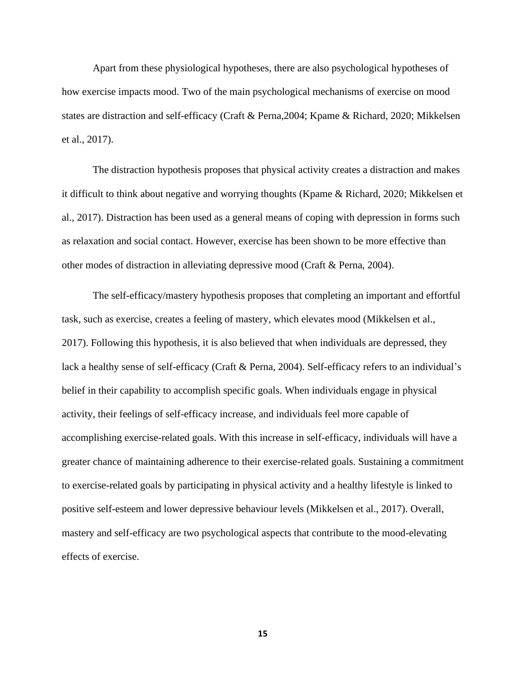Apart from these physiological hypotheses, there are also psychological hypotheses of how exercise impacts mood. Two of the main psychological mechanisms of exercise on mood states are distraction and self-efficacy (Craft & Perna,2004; Kpame & Richard, 2020; Mikkelsen et al., 2017).

The distraction hypothesis proposes that physical activity creates a distraction and makes it difficult to think about negative and worrying thoughts (Kpame & Richard, 2020; Mikkelsen et al., 2017). Distraction has been used as a general means of coping with depression in forms such as relaxation and social contact. However, exercise has been shown to be more effective than other modes of distraction in alleviating depressive mood (Craft & Perna, 2004).

The self-efficacy/mastery hypothesis proposes that completing an important and effortful task, such as exercise, creates a feeling of mastery, which elevates mood (Mikkelsen et al., 2017). Following this hypothesis, it is also believed that when individuals are depressed, they lack a healthy sense of self-efficacy (Craft & Perna, 2004). Self-efficacy refers to an individual's belief in their capability to accomplish specific goals. When individuals engage in physical activity, their feelings of self-efficacy increase, and individuals feel more capable of accomplishing exercise-related goals. With this increase in self-efficacy, individuals will have a greater chance of maintaining adherence to their exercise-related goals. Sustaining a commitment to exercise-related goals by participating in physical activity and a healthy lifestyle is linked to positive self-esteem and lower depressive behaviour levels (Mikkelsen et al., 2017). Overall, mastery and self-efficacy are two psychological aspects that contribute to the mood-elevating effects of exercise.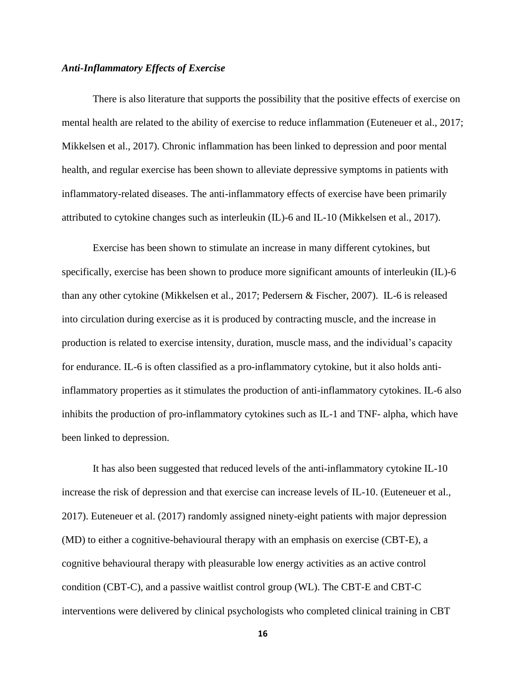## *Anti-Inflammatory Effects of Exercise*

There is also literature that supports the possibility that the positive effects of exercise on mental health are related to the ability of exercise to reduce inflammation (Euteneuer et al., 2017; Mikkelsen et al., 2017). Chronic inflammation has been linked to depression and poor mental health, and regular exercise has been shown to alleviate depressive symptoms in patients with inflammatory-related diseases. The anti-inflammatory effects of exercise have been primarily attributed to cytokine changes such as interleukin (IL)-6 and IL-10 (Mikkelsen et al., 2017).

Exercise has been shown to stimulate an increase in many different cytokines, but specifically, exercise has been shown to produce more significant amounts of interleukin (IL)-6 than any other cytokine (Mikkelsen et al., 2017; Pedersern & Fischer, 2007). IL-6 is released into circulation during exercise as it is produced by contracting muscle, and the increase in production is related to exercise intensity, duration, muscle mass, and the individual's capacity for endurance. IL-6 is often classified as a pro-inflammatory cytokine, but it also holds antiinflammatory properties as it stimulates the production of anti-inflammatory cytokines. IL-6 also inhibits the production of pro-inflammatory cytokines such as IL-1 and TNF- alpha, which have been linked to depression.

It has also been suggested that reduced levels of the anti-inflammatory cytokine IL-10 increase the risk of depression and that exercise can increase levels of IL-10. (Euteneuer et al., 2017). Euteneuer et al. (2017) randomly assigned ninety-eight patients with major depression (MD) to either a cognitive-behavioural therapy with an emphasis on exercise (CBT-E), a cognitive behavioural therapy with pleasurable low energy activities as an active control condition (CBT-C), and a passive waitlist control group (WL). The CBT-E and CBT-C interventions were delivered by clinical psychologists who completed clinical training in CBT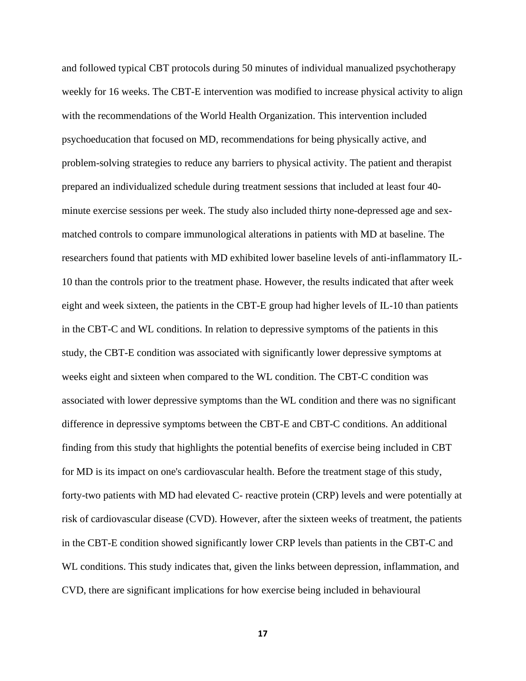and followed typical CBT protocols during 50 minutes of individual manualized psychotherapy weekly for 16 weeks. The CBT-E intervention was modified to increase physical activity to align with the recommendations of the World Health Organization. This intervention included psychoeducation that focused on MD, recommendations for being physically active, and problem-solving strategies to reduce any barriers to physical activity. The patient and therapist prepared an individualized schedule during treatment sessions that included at least four 40 minute exercise sessions per week. The study also included thirty none-depressed age and sexmatched controls to compare immunological alterations in patients with MD at baseline. The researchers found that patients with MD exhibited lower baseline levels of anti-inflammatory IL-10 than the controls prior to the treatment phase. However, the results indicated that after week eight and week sixteen, the patients in the CBT-E group had higher levels of IL-10 than patients in the CBT-C and WL conditions. In relation to depressive symptoms of the patients in this study, the CBT-E condition was associated with significantly lower depressive symptoms at weeks eight and sixteen when compared to the WL condition. The CBT-C condition was associated with lower depressive symptoms than the WL condition and there was no significant difference in depressive symptoms between the CBT-E and CBT-C conditions. An additional finding from this study that highlights the potential benefits of exercise being included in CBT for MD is its impact on one's cardiovascular health. Before the treatment stage of this study, forty-two patients with MD had elevated C- reactive protein (CRP) levels and were potentially at risk of cardiovascular disease (CVD). However, after the sixteen weeks of treatment, the patients in the CBT-E condition showed significantly lower CRP levels than patients in the CBT-C and WL conditions. This study indicates that, given the links between depression, inflammation, and CVD, there are significant implications for how exercise being included in behavioural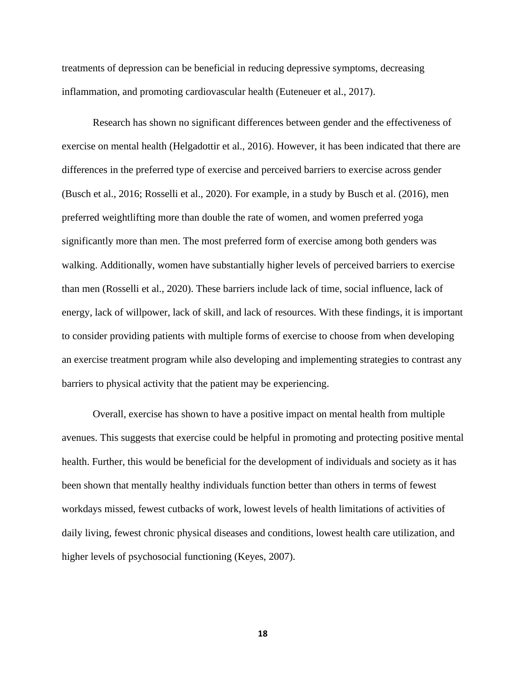treatments of depression can be beneficial in reducing depressive symptoms, decreasing inflammation, and promoting cardiovascular health (Euteneuer et al., 2017).

Research has shown no significant differences between gender and the effectiveness of exercise on mental health (Helgadottir et al., 2016). However, it has been indicated that there are differences in the preferred type of exercise and perceived barriers to exercise across gender (Busch et al., 2016; Rosselli et al., 2020). For example, in a study by Busch et al. (2016), men preferred weightlifting more than double the rate of women, and women preferred yoga significantly more than men. The most preferred form of exercise among both genders was walking. Additionally, women have substantially higher levels of perceived barriers to exercise than men (Rosselli et al., 2020). These barriers include lack of time, social influence, lack of energy, lack of willpower, lack of skill, and lack of resources. With these findings, it is important to consider providing patients with multiple forms of exercise to choose from when developing an exercise treatment program while also developing and implementing strategies to contrast any barriers to physical activity that the patient may be experiencing.

Overall, exercise has shown to have a positive impact on mental health from multiple avenues. This suggests that exercise could be helpful in promoting and protecting positive mental health. Further, this would be beneficial for the development of individuals and society as it has been shown that mentally healthy individuals function better than others in terms of fewest workdays missed, fewest cutbacks of work, lowest levels of health limitations of activities of daily living, fewest chronic physical diseases and conditions, lowest health care utilization, and higher levels of psychosocial functioning (Keyes, 2007).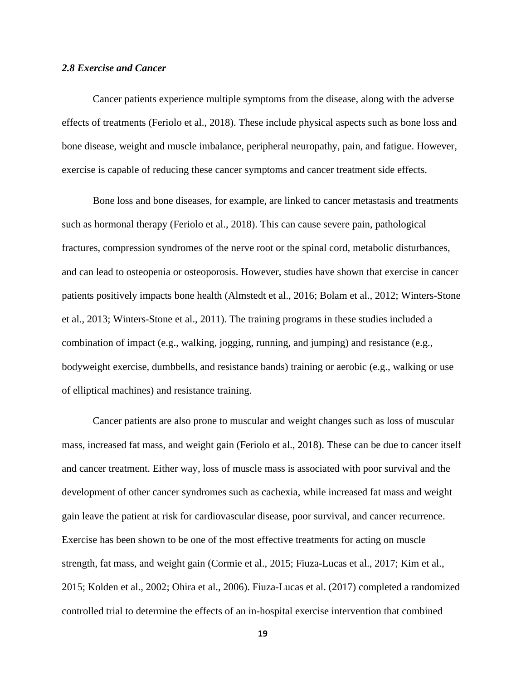### *2.8 Exercise and Cancer*

Cancer patients experience multiple symptoms from the disease, along with the adverse effects of treatments (Feriolo et al., 2018). These include physical aspects such as bone loss and bone disease, weight and muscle imbalance, peripheral neuropathy, pain, and fatigue. However, exercise is capable of reducing these cancer symptoms and cancer treatment side effects.

Bone loss and bone diseases, for example, are linked to cancer metastasis and treatments such as hormonal therapy (Feriolo et al., 2018). This can cause severe pain, pathological fractures, compression syndromes of the nerve root or the spinal cord, metabolic disturbances, and can lead to osteopenia or osteoporosis. However, studies have shown that exercise in cancer patients positively impacts bone health (Almstedt et al., 2016; Bolam et al., 2012; Winters-Stone et al., 2013; Winters-Stone et al., 2011). The training programs in these studies included a combination of impact (e.g., walking, jogging, running, and jumping) and resistance (e.g., bodyweight exercise, dumbbells, and resistance bands) training or aerobic (e.g., walking or use of elliptical machines) and resistance training.

Cancer patients are also prone to muscular and weight changes such as loss of muscular mass, increased fat mass, and weight gain (Feriolo et al., 2018). These can be due to cancer itself and cancer treatment. Either way, loss of muscle mass is associated with poor survival and the development of other cancer syndromes such as cachexia, while increased fat mass and weight gain leave the patient at risk for cardiovascular disease, poor survival, and cancer recurrence. Exercise has been shown to be one of the most effective treatments for acting on muscle strength, fat mass, and weight gain (Cormie et al., 2015; Fiuza-Lucas et al., 2017; Kim et al., 2015; Kolden et al., 2002; Ohira et al., 2006). Fiuza-Lucas et al. (2017) completed a randomized controlled trial to determine the effects of an in-hospital exercise intervention that combined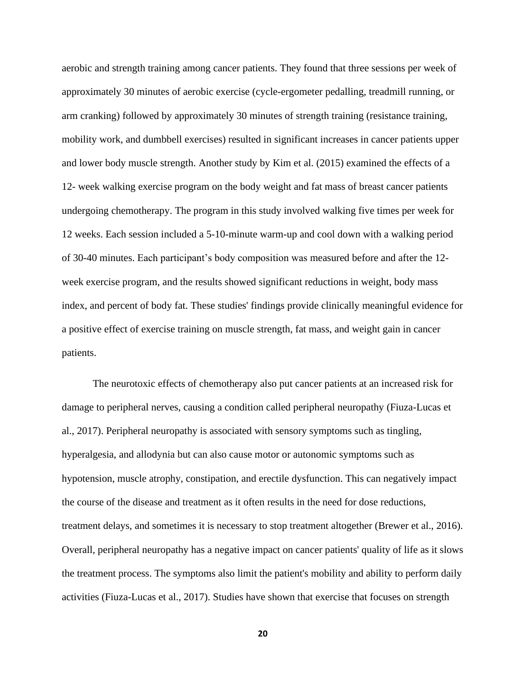aerobic and strength training among cancer patients. They found that three sessions per week of approximately 30 minutes of aerobic exercise (cycle-ergometer pedalling, treadmill running, or arm cranking) followed by approximately 30 minutes of strength training (resistance training, mobility work, and dumbbell exercises) resulted in significant increases in cancer patients upper and lower body muscle strength. Another study by Kim et al. (2015) examined the effects of a 12- week walking exercise program on the body weight and fat mass of breast cancer patients undergoing chemotherapy. The program in this study involved walking five times per week for 12 weeks. Each session included a 5-10-minute warm-up and cool down with a walking period of 30-40 minutes. Each participant's body composition was measured before and after the 12 week exercise program, and the results showed significant reductions in weight, body mass index, and percent of body fat. These studies' findings provide clinically meaningful evidence for a positive effect of exercise training on muscle strength, fat mass, and weight gain in cancer patients.

The neurotoxic effects of chemotherapy also put cancer patients at an increased risk for damage to peripheral nerves, causing a condition called peripheral neuropathy (Fiuza-Lucas et al., 2017). Peripheral neuropathy is associated with sensory symptoms such as tingling, hyperalgesia, and allodynia but can also cause motor or autonomic symptoms such as hypotension, muscle atrophy, constipation, and erectile dysfunction. This can negatively impact the course of the disease and treatment as it often results in the need for dose reductions, treatment delays, and sometimes it is necessary to stop treatment altogether (Brewer et al., 2016). Overall, peripheral neuropathy has a negative impact on cancer patients' quality of life as it slows the treatment process. The symptoms also limit the patient's mobility and ability to perform daily activities (Fiuza-Lucas et al., 2017). Studies have shown that exercise that focuses on strength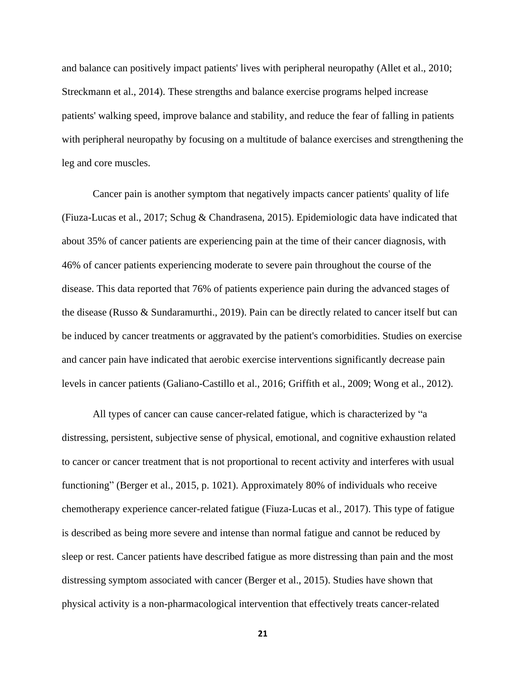and balance can positively impact patients' lives with peripheral neuropathy (Allet et al., 2010; Streckmann et al., 2014). These strengths and balance exercise programs helped increase patients' walking speed, improve balance and stability, and reduce the fear of falling in patients with peripheral neuropathy by focusing on a multitude of balance exercises and strengthening the leg and core muscles.

Cancer pain is another symptom that negatively impacts cancer patients' quality of life (Fiuza-Lucas et al., 2017; Schug & Chandrasena, 2015). Epidemiologic data have indicated that about 35% of cancer patients are experiencing pain at the time of their cancer diagnosis, with 46% of cancer patients experiencing moderate to severe pain throughout the course of the disease. This data reported that 76% of patients experience pain during the advanced stages of the disease (Russo & Sundaramurthi., 2019). Pain can be directly related to cancer itself but can be induced by cancer treatments or aggravated by the patient's comorbidities. Studies on exercise and cancer pain have indicated that aerobic exercise interventions significantly decrease pain levels in cancer patients (Galiano-Castillo et al., 2016; Griffith et al., 2009; Wong et al., 2012).

All types of cancer can cause cancer-related fatigue, which is characterized by "a distressing, persistent, subjective sense of physical, emotional, and cognitive exhaustion related to cancer or cancer treatment that is not proportional to recent activity and interferes with usual functioning" (Berger et al., 2015, p. 1021). Approximately 80% of individuals who receive chemotherapy experience cancer-related fatigue (Fiuza-Lucas et al., 2017). This type of fatigue is described as being more severe and intense than normal fatigue and cannot be reduced by sleep or rest. Cancer patients have described fatigue as more distressing than pain and the most distressing symptom associated with cancer (Berger et al., 2015). Studies have shown that physical activity is a non-pharmacological intervention that effectively treats cancer-related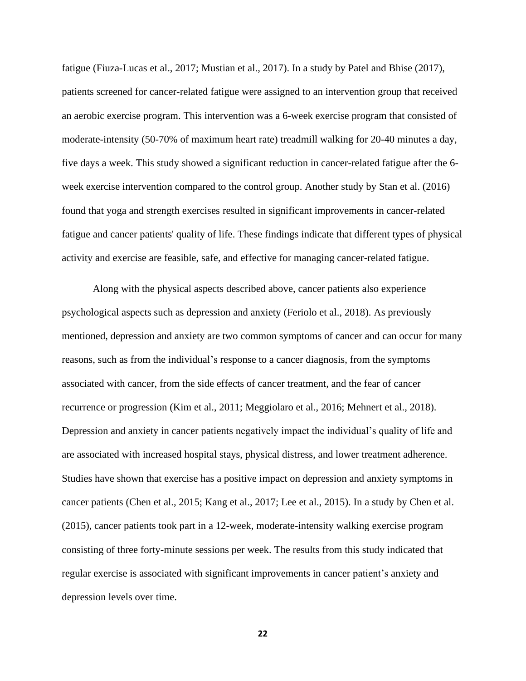fatigue (Fiuza-Lucas et al., 2017; Mustian et al., 2017). In a study by Patel and Bhise (2017), patients screened for cancer-related fatigue were assigned to an intervention group that received an aerobic exercise program. This intervention was a 6-week exercise program that consisted of moderate-intensity (50-70% of maximum heart rate) treadmill walking for 20-40 minutes a day, five days a week. This study showed a significant reduction in cancer-related fatigue after the 6 week exercise intervention compared to the control group. Another study by Stan et al. (2016) found that yoga and strength exercises resulted in significant improvements in cancer-related fatigue and cancer patients' quality of life. These findings indicate that different types of physical activity and exercise are feasible, safe, and effective for managing cancer-related fatigue.

Along with the physical aspects described above, cancer patients also experience psychological aspects such as depression and anxiety (Feriolo et al., 2018). As previously mentioned, depression and anxiety are two common symptoms of cancer and can occur for many reasons, such as from the individual's response to a cancer diagnosis, from the symptoms associated with cancer, from the side effects of cancer treatment, and the fear of cancer recurrence or progression (Kim et al., 2011; Meggiolaro et al., 2016; Mehnert et al., 2018). Depression and anxiety in cancer patients negatively impact the individual's quality of life and are associated with increased hospital stays, physical distress, and lower treatment adherence. Studies have shown that exercise has a positive impact on depression and anxiety symptoms in cancer patients (Chen et al., 2015; Kang et al., 2017; Lee et al., 2015). In a study by Chen et al. (2015), cancer patients took part in a 12-week, moderate-intensity walking exercise program consisting of three forty-minute sessions per week. The results from this study indicated that regular exercise is associated with significant improvements in cancer patient's anxiety and depression levels over time.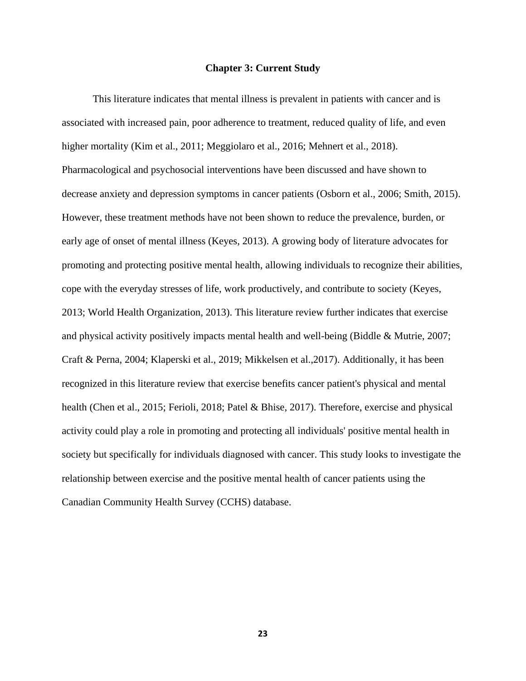#### **Chapter 3: Current Study**

This literature indicates that mental illness is prevalent in patients with cancer and is associated with increased pain, poor adherence to treatment, reduced quality of life, and even higher mortality (Kim et al., 2011; Meggiolaro et al., 2016; Mehnert et al., 2018). Pharmacological and psychosocial interventions have been discussed and have shown to decrease anxiety and depression symptoms in cancer patients (Osborn et al., 2006; Smith, 2015). However, these treatment methods have not been shown to reduce the prevalence, burden, or early age of onset of mental illness (Keyes, 2013). A growing body of literature advocates for promoting and protecting positive mental health, allowing individuals to recognize their abilities, cope with the everyday stresses of life, work productively, and contribute to society (Keyes, 2013; World Health Organization, 2013). This literature review further indicates that exercise and physical activity positively impacts mental health and well-being (Biddle & Mutrie, 2007; Craft & Perna, 2004; Klaperski et al., 2019; Mikkelsen et al.,2017). Additionally, it has been recognized in this literature review that exercise benefits cancer patient's physical and mental health (Chen et al., 2015; Ferioli, 2018; Patel & Bhise, 2017). Therefore, exercise and physical activity could play a role in promoting and protecting all individuals' positive mental health in society but specifically for individuals diagnosed with cancer. This study looks to investigate the relationship between exercise and the positive mental health of cancer patients using the Canadian Community Health Survey (CCHS) database.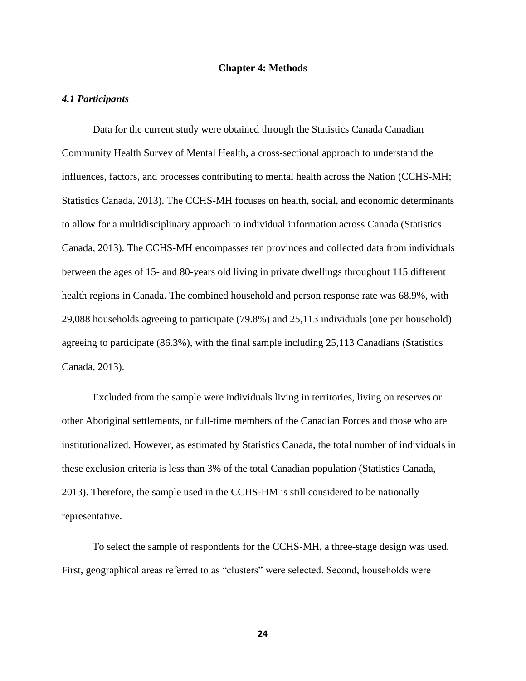#### **Chapter 4: Methods**

#### *4.1 Participants*

Data for the current study were obtained through the Statistics Canada Canadian Community Health Survey of Mental Health, a cross-sectional approach to understand the influences, factors, and processes contributing to mental health across the Nation (CCHS-MH; Statistics Canada, 2013). The CCHS-MH focuses on health, social, and economic determinants to allow for a multidisciplinary approach to individual information across Canada (Statistics Canada, 2013). The CCHS-MH encompasses ten provinces and collected data from individuals between the ages of 15- and 80-years old living in private dwellings throughout 115 different health regions in Canada. The combined household and person response rate was 68.9%, with 29,088 households agreeing to participate (79.8%) and 25,113 individuals (one per household) agreeing to participate (86.3%), with the final sample including 25,113 Canadians (Statistics Canada, 2013).

Excluded from the sample were individuals living in territories, living on reserves or other Aboriginal settlements, or full-time members of the Canadian Forces and those who are institutionalized. However, as estimated by Statistics Canada, the total number of individuals in these exclusion criteria is less than 3% of the total Canadian population (Statistics Canada, 2013). Therefore, the sample used in the CCHS-HM is still considered to be nationally representative.

To select the sample of respondents for the CCHS-MH, a three-stage design was used. First, geographical areas referred to as "clusters" were selected. Second, households were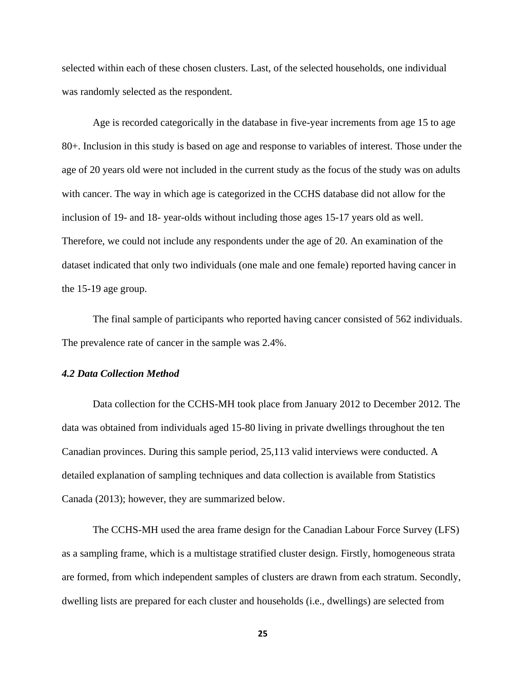selected within each of these chosen clusters. Last, of the selected households, one individual was randomly selected as the respondent.

Age is recorded categorically in the database in five-year increments from age 15 to age 80+. Inclusion in this study is based on age and response to variables of interest. Those under the age of 20 years old were not included in the current study as the focus of the study was on adults with cancer. The way in which age is categorized in the CCHS database did not allow for the inclusion of 19- and 18- year-olds without including those ages 15-17 years old as well. Therefore, we could not include any respondents under the age of 20. An examination of the dataset indicated that only two individuals (one male and one female) reported having cancer in the 15-19 age group.

The final sample of participants who reported having cancer consisted of 562 individuals. The prevalence rate of cancer in the sample was 2.4%.

## *4.2 Data Collection Method*

Data collection for the CCHS-MH took place from January 2012 to December 2012. The data was obtained from individuals aged 15-80 living in private dwellings throughout the ten Canadian provinces. During this sample period, 25,113 valid interviews were conducted. A detailed explanation of sampling techniques and data collection is available from Statistics Canada (2013); however, they are summarized below.

The CCHS-MH used the area frame design for the Canadian Labour Force Survey (LFS) as a sampling frame, which is a multistage stratified cluster design. Firstly, homogeneous strata are formed, from which independent samples of clusters are drawn from each stratum. Secondly, dwelling lists are prepared for each cluster and households (i.e., dwellings) are selected from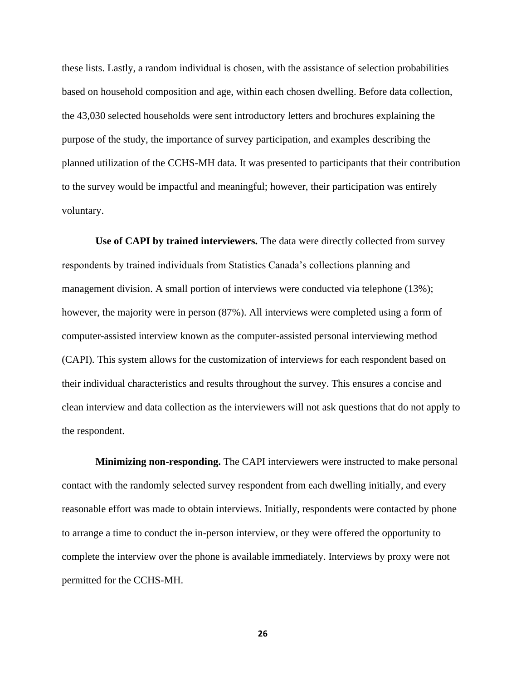these lists. Lastly, a random individual is chosen, with the assistance of selection probabilities based on household composition and age, within each chosen dwelling. Before data collection, the 43,030 selected households were sent introductory letters and brochures explaining the purpose of the study, the importance of survey participation, and examples describing the planned utilization of the CCHS-MH data. It was presented to participants that their contribution to the survey would be impactful and meaningful; however, their participation was entirely voluntary.

**Use of CAPI by trained interviewers.** The data were directly collected from survey respondents by trained individuals from Statistics Canada's collections planning and management division. A small portion of interviews were conducted via telephone (13%); however, the majority were in person (87%). All interviews were completed using a form of computer-assisted interview known as the computer-assisted personal interviewing method (CAPI). This system allows for the customization of interviews for each respondent based on their individual characteristics and results throughout the survey. This ensures a concise and clean interview and data collection as the interviewers will not ask questions that do not apply to the respondent.

**Minimizing non-responding.** The CAPI interviewers were instructed to make personal contact with the randomly selected survey respondent from each dwelling initially, and every reasonable effort was made to obtain interviews. Initially, respondents were contacted by phone to arrange a time to conduct the in-person interview, or they were offered the opportunity to complete the interview over the phone is available immediately. Interviews by proxy were not permitted for the CCHS-MH.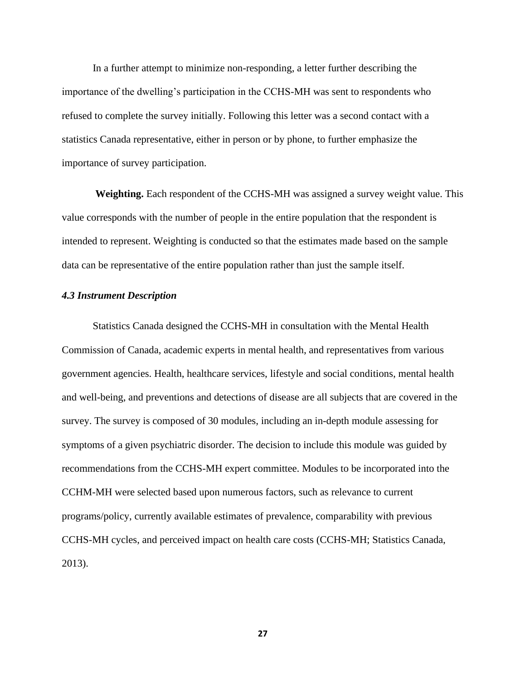In a further attempt to minimize non-responding, a letter further describing the importance of the dwelling's participation in the CCHS-MH was sent to respondents who refused to complete the survey initially. Following this letter was a second contact with a statistics Canada representative, either in person or by phone, to further emphasize the importance of survey participation.

**Weighting.** Each respondent of the CCHS-MH was assigned a survey weight value. This value corresponds with the number of people in the entire population that the respondent is intended to represent. Weighting is conducted so that the estimates made based on the sample data can be representative of the entire population rather than just the sample itself.

### *4.3 Instrument Description*

Statistics Canada designed the CCHS-MH in consultation with the Mental Health Commission of Canada, academic experts in mental health, and representatives from various government agencies. Health, healthcare services, lifestyle and social conditions, mental health and well-being, and preventions and detections of disease are all subjects that are covered in the survey. The survey is composed of 30 modules, including an in-depth module assessing for symptoms of a given psychiatric disorder. The decision to include this module was guided by recommendations from the CCHS-MH expert committee. Modules to be incorporated into the CCHM-MH were selected based upon numerous factors, such as relevance to current programs/policy, currently available estimates of prevalence, comparability with previous CCHS-MH cycles, and perceived impact on health care costs (CCHS-MH; Statistics Canada, 2013).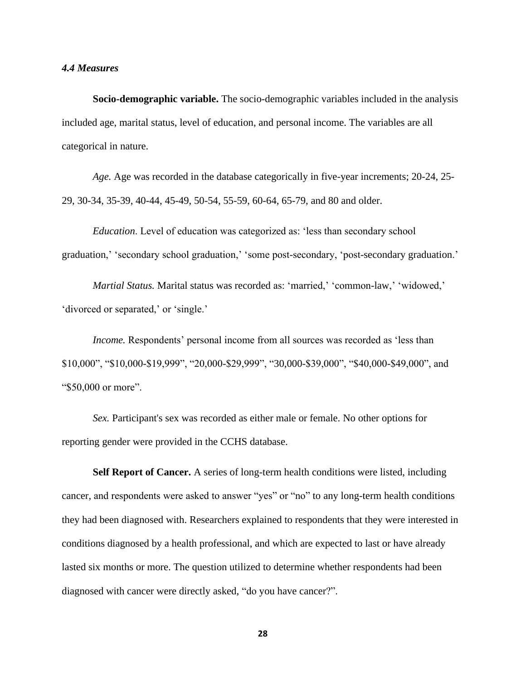#### *4.4 Measures*

**Socio-demographic variable.** The socio-demographic variables included in the analysis included age, marital status, level of education, and personal income. The variables are all categorical in nature.

*Age.* Age was recorded in the database categorically in five-year increments; 20-24, 25- 29, 30-34, 35-39, 40-44, 45-49, 50-54, 55-59, 60-64, 65-79, and 80 and older.

*Education*. Level of education was categorized as: 'less than secondary school graduation,' 'secondary school graduation,' 'some post-secondary, 'post-secondary graduation.'

*Martial Status.* Marital status was recorded as: 'married,' 'common-law,' 'widowed,' 'divorced or separated,' or 'single.'

*Income*. Respondents' personal income from all sources was recorded as 'less than \$10,000", "\$10,000-\$19,999", "20,000-\$29,999", "30,000-\$39,000", "\$40,000-\$49,000", and "\$50,000 or more".

*Sex.* Participant's sex was recorded as either male or female. No other options for reporting gender were provided in the CCHS database.

**Self Report of Cancer.** A series of long-term health conditions were listed, including cancer, and respondents were asked to answer "yes" or "no" to any long-term health conditions they had been diagnosed with. Researchers explained to respondents that they were interested in conditions diagnosed by a health professional, and which are expected to last or have already lasted six months or more. The question utilized to determine whether respondents had been diagnosed with cancer were directly asked, "do you have cancer?".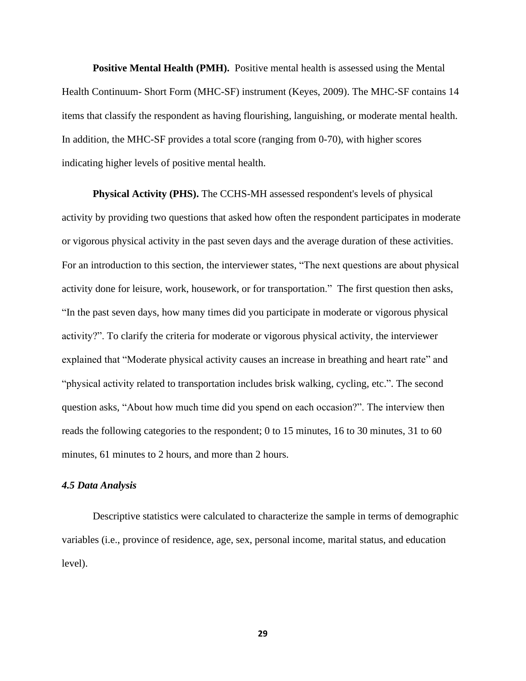**Positive Mental Health (PMH).** Positive mental health is assessed using the Mental Health Continuum- Short Form (MHC-SF) instrument (Keyes, 2009). The MHC-SF contains 14 items that classify the respondent as having flourishing, languishing, or moderate mental health. In addition, the MHC-SF provides a total score (ranging from 0-70), with higher scores indicating higher levels of positive mental health.

**Physical Activity (PHS).** The CCHS-MH assessed respondent's levels of physical activity by providing two questions that asked how often the respondent participates in moderate or vigorous physical activity in the past seven days and the average duration of these activities. For an introduction to this section, the interviewer states, "The next questions are about physical activity done for leisure, work, housework, or for transportation." The first question then asks, "In the past seven days, how many times did you participate in moderate or vigorous physical activity?". To clarify the criteria for moderate or vigorous physical activity, the interviewer explained that "Moderate physical activity causes an increase in breathing and heart rate" and "physical activity related to transportation includes brisk walking, cycling, etc.". The second question asks, "About how much time did you spend on each occasion?". The interview then reads the following categories to the respondent; 0 to 15 minutes, 16 to 30 minutes, 31 to 60 minutes, 61 minutes to 2 hours, and more than 2 hours.

#### *4.5 Data Analysis*

Descriptive statistics were calculated to characterize the sample in terms of demographic variables (i.e., province of residence, age, sex, personal income, marital status, and education level).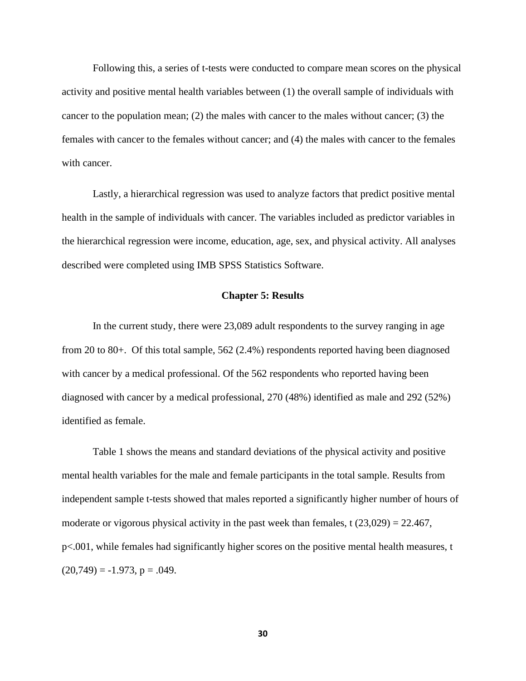Following this, a series of t-tests were conducted to compare mean scores on the physical activity and positive mental health variables between (1) the overall sample of individuals with cancer to the population mean;  $(2)$  the males with cancer to the males without cancer;  $(3)$  the females with cancer to the females without cancer; and (4) the males with cancer to the females with cancer.

Lastly, a hierarchical regression was used to analyze factors that predict positive mental health in the sample of individuals with cancer. The variables included as predictor variables in the hierarchical regression were income, education, age, sex, and physical activity. All analyses described were completed using IMB SPSS Statistics Software.

## **Chapter 5: Results**

In the current study, there were 23,089 adult respondents to the survey ranging in age from 20 to 80+. Of this total sample, 562 (2.4%) respondents reported having been diagnosed with cancer by a medical professional. Of the 562 respondents who reported having been diagnosed with cancer by a medical professional, 270 (48%) identified as male and 292 (52%) identified as female.

Table 1 shows the means and standard deviations of the physical activity and positive mental health variables for the male and female participants in the total sample. Results from independent sample t-tests showed that males reported a significantly higher number of hours of moderate or vigorous physical activity in the past week than females, t  $(23,029) = 22.467$ , p<.001, while females had significantly higher scores on the positive mental health measures, t  $(20,749) = -1.973$ , p = .049.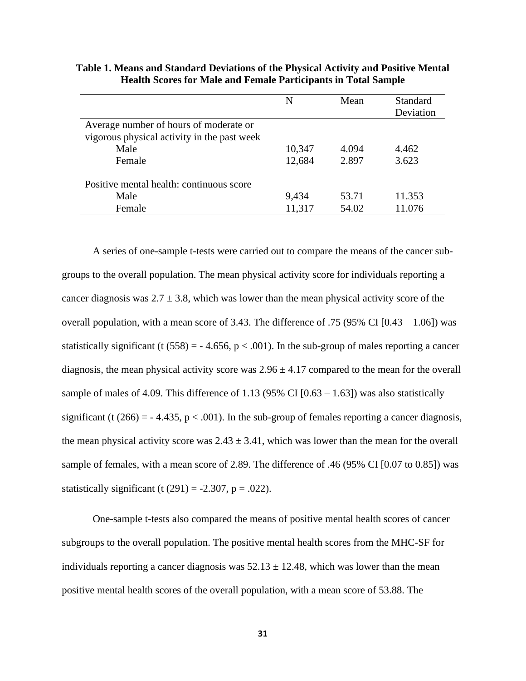|                                             | N      | Mean  | Standard  |  |
|---------------------------------------------|--------|-------|-----------|--|
|                                             |        |       | Deviation |  |
| Average number of hours of moderate or      |        |       |           |  |
| vigorous physical activity in the past week |        |       |           |  |
| Male                                        | 10,347 | 4.094 | 4.462     |  |
| Female                                      | 12,684 | 2.897 | 3.623     |  |
| Positive mental health: continuous score    |        |       |           |  |
| Male                                        | 9,434  | 53.71 | 11.353    |  |
| Female                                      | 11,317 | 54.02 | 11.076    |  |

**Table 1. Means and Standard Deviations of the Physical Activity and Positive Mental Health Scores for Male and Female Participants in Total Sample**

A series of one-sample t-tests were carried out to compare the means of the cancer subgroups to the overall population. The mean physical activity score for individuals reporting a cancer diagnosis was  $2.7 \pm 3.8$ , which was lower than the mean physical activity score of the overall population, with a mean score of 3.43. The difference of .75 (95% CI  $[0.43 - 1.06]$ ) was statistically significant (t (558) =  $-4.656$ , p < .001). In the sub-group of males reporting a cancer diagnosis, the mean physical activity score was  $2.96 \pm 4.17$  compared to the mean for the overall sample of males of 4.09. This difference of 1.13 (95% CI  $[0.63 - 1.63]$ ) was also statistically significant (t (266) =  $-4.435$ , p  $< .001$ ). In the sub-group of females reporting a cancer diagnosis, the mean physical activity score was  $2.43 \pm 3.41$ , which was lower than the mean for the overall sample of females, with a mean score of 2.89. The difference of .46 (95% CI [0.07 to 0.85]) was statistically significant (t  $(291) = -2.307$ , p = .022).

One-sample t-tests also compared the means of positive mental health scores of cancer subgroups to the overall population. The positive mental health scores from the MHC-SF for individuals reporting a cancer diagnosis was  $52.13 \pm 12.48$ , which was lower than the mean positive mental health scores of the overall population, with a mean score of 53.88. The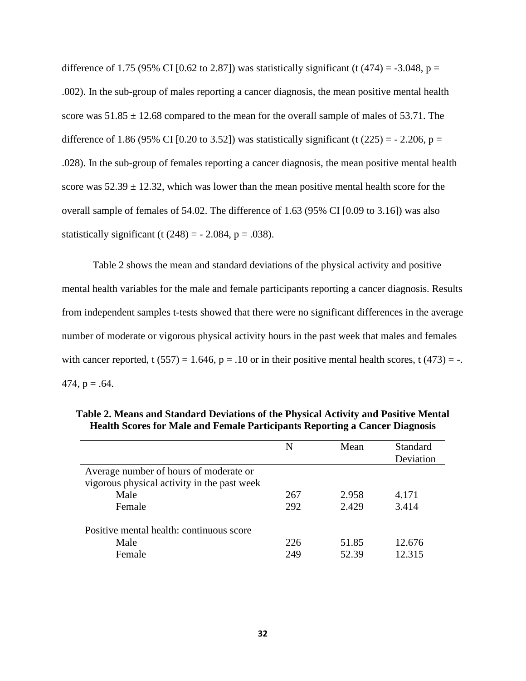difference of 1.75 (95% CI [0.62 to 2.87]) was statistically significant (t (474) = -3.048, p = .002). In the sub-group of males reporting a cancer diagnosis, the mean positive mental health score was  $51.85 \pm 12.68$  compared to the mean for the overall sample of males of 53.71. The difference of 1.86 (95% CI [0.20 to 3.52]) was statistically significant (t (225) =  $-$  2.206, p = .028). In the sub-group of females reporting a cancer diagnosis, the mean positive mental health score was  $52.39 \pm 12.32$ , which was lower than the mean positive mental health score for the overall sample of females of 54.02. The difference of 1.63 (95% CI [0.09 to 3.16]) was also statistically significant (t  $(248) = -2.084$ , p = .038).

Table 2 shows the mean and standard deviations of the physical activity and positive mental health variables for the male and female participants reporting a cancer diagnosis. Results from independent samples t-tests showed that there were no significant differences in the average number of moderate or vigorous physical activity hours in the past week that males and females with cancer reported, t  $(557) = 1.646$ ,  $p = .10$  or in their positive mental health scores, t  $(473) = -$ . 474,  $p = .64$ .

|                                             | N   | Mean  | Standard  |
|---------------------------------------------|-----|-------|-----------|
|                                             |     |       | Deviation |
| Average number of hours of moderate or      |     |       |           |
| vigorous physical activity in the past week |     |       |           |
| Male                                        | 267 | 2.958 | 4.171     |
| Female                                      | 292 | 2.429 | 3.414     |
| Positive mental health: continuous score    |     |       |           |
| Male                                        | 226 | 51.85 | 12.676    |
| Female                                      | 249 | 52.39 | 12.315    |

**Table 2. Means and Standard Deviations of the Physical Activity and Positive Mental Health Scores for Male and Female Participants Reporting a Cancer Diagnosis**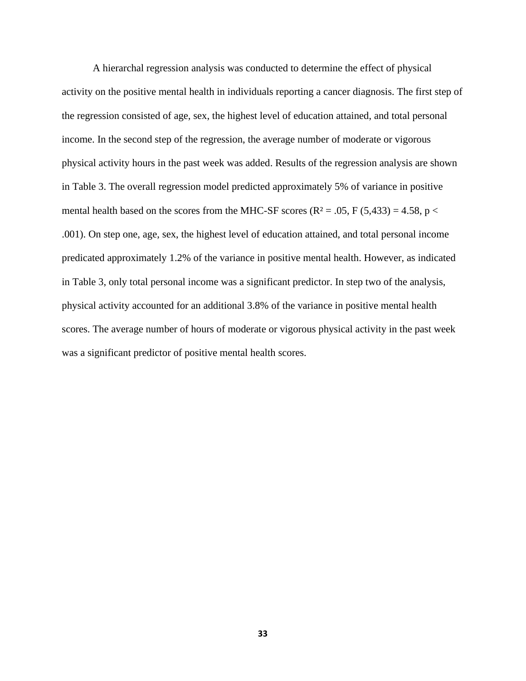A hierarchal regression analysis was conducted to determine the effect of physical activity on the positive mental health in individuals reporting a cancer diagnosis. The first step of the regression consisted of age, sex, the highest level of education attained, and total personal income. In the second step of the regression, the average number of moderate or vigorous physical activity hours in the past week was added. Results of the regression analysis are shown in Table 3. The overall regression model predicted approximately 5% of variance in positive mental health based on the scores from the MHC-SF scores ( $R^2 = .05$ , F (5,433) = 4.58, p < .001). On step one, age, sex, the highest level of education attained, and total personal income predicated approximately 1.2% of the variance in positive mental health. However, as indicated in Table 3, only total personal income was a significant predictor. In step two of the analysis, physical activity accounted for an additional 3.8% of the variance in positive mental health scores. The average number of hours of moderate or vigorous physical activity in the past week was a significant predictor of positive mental health scores.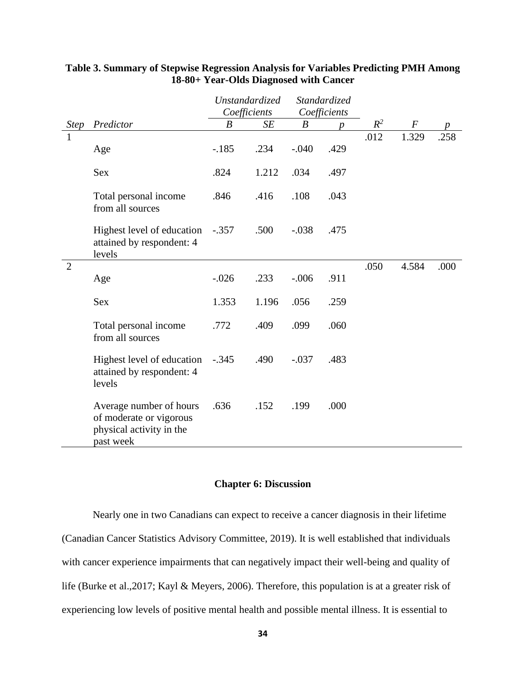|                |                                                                                             |                              | Unstandardized |                  | Standardized     |       |                    |      |
|----------------|---------------------------------------------------------------------------------------------|------------------------------|----------------|------------------|------------------|-------|--------------------|------|
|                |                                                                                             | Coefficients<br>Coefficients |                |                  |                  |       |                    |      |
| <b>Step</b>    | Predictor                                                                                   | $\boldsymbol{B}$             | SE             | $\boldsymbol{B}$ | $\boldsymbol{p}$ | $R^2$ | $\boldsymbol{F}$   |      |
|                | Age                                                                                         | $-.185$                      | .234           | $-.040$          | .429             | .012  | $\overline{1.329}$ | .258 |
|                | <b>Sex</b>                                                                                  | .824                         | 1.212          | .034             | .497             |       |                    |      |
|                | Total personal income<br>from all sources                                                   | .846                         | .416           | .108             | .043             |       |                    |      |
|                | Highest level of education<br>attained by respondent: 4<br>levels                           | $-.357$                      | .500           | $-.038$          | .475             |       |                    |      |
| $\overline{2}$ | Age                                                                                         | $-.026$                      | .233           | $-.006$          | .911             | .050  | 4.584              | .000 |
|                | <b>Sex</b>                                                                                  | 1.353                        | 1.196          | .056             | .259             |       |                    |      |
|                | Total personal income<br>from all sources                                                   | .772                         | .409           | .099             | .060             |       |                    |      |
|                | Highest level of education<br>attained by respondent: 4<br>levels                           | $-.345$                      | .490           | $-.037$          | .483             |       |                    |      |
|                | Average number of hours<br>of moderate or vigorous<br>physical activity in the<br>past week | .636                         | .152           | .199             | .000             |       |                    |      |

# **Table 3. Summary of Stepwise Regression Analysis for Variables Predicting PMH Among 18-80+ Year-Olds Diagnosed with Cancer**

# **Chapter 6: Discussion**

Nearly one in two Canadians can expect to receive a cancer diagnosis in their lifetime (Canadian Cancer Statistics Advisory Committee, 2019). It is well established that individuals with cancer experience impairments that can negatively impact their well-being and quality of life (Burke et al.,2017; Kayl & Meyers, 2006). Therefore, this population is at a greater risk of experiencing low levels of positive mental health and possible mental illness. It is essential to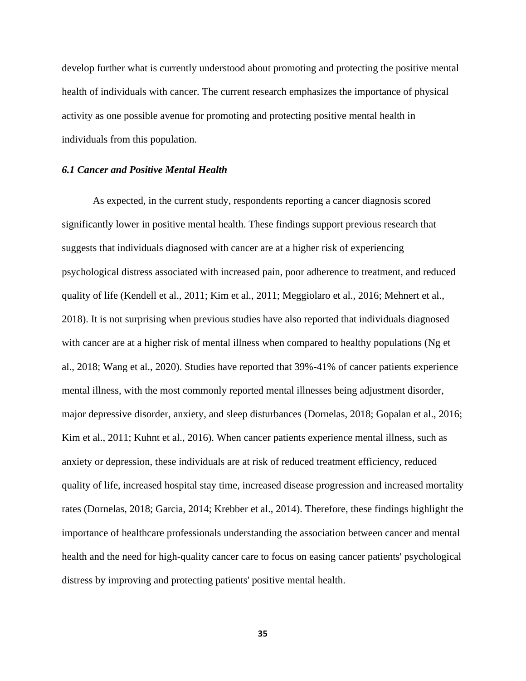develop further what is currently understood about promoting and protecting the positive mental health of individuals with cancer. The current research emphasizes the importance of physical activity as one possible avenue for promoting and protecting positive mental health in individuals from this population.

## *6.1 Cancer and Positive Mental Health*

As expected, in the current study, respondents reporting a cancer diagnosis scored significantly lower in positive mental health. These findings support previous research that suggests that individuals diagnosed with cancer are at a higher risk of experiencing psychological distress associated with increased pain, poor adherence to treatment, and reduced quality of life (Kendell et al., 2011; Kim et al., 2011; Meggiolaro et al., 2016; Mehnert et al., 2018). It is not surprising when previous studies have also reported that individuals diagnosed with cancer are at a higher risk of mental illness when compared to healthy populations (Ng et al., 2018; Wang et al., 2020). Studies have reported that 39%-41% of cancer patients experience mental illness, with the most commonly reported mental illnesses being adjustment disorder, major depressive disorder, anxiety, and sleep disturbances (Dornelas, 2018; Gopalan et al., 2016; Kim et al., 2011; Kuhnt et al., 2016). When cancer patients experience mental illness, such as anxiety or depression, these individuals are at risk of reduced treatment efficiency, reduced quality of life, increased hospital stay time, increased disease progression and increased mortality rates (Dornelas, 2018; Garcia, 2014; Krebber et al., 2014). Therefore, these findings highlight the importance of healthcare professionals understanding the association between cancer and mental health and the need for high-quality cancer care to focus on easing cancer patients' psychological distress by improving and protecting patients' positive mental health.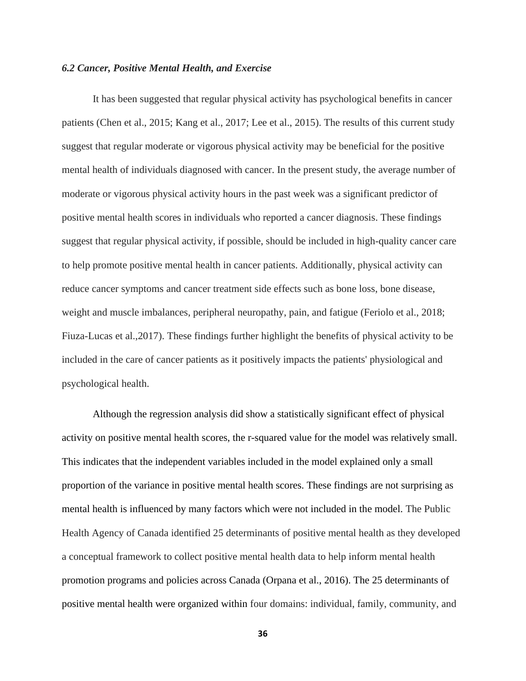### *6.2 Cancer, Positive Mental Health, and Exercise*

It has been suggested that regular physical activity has psychological benefits in cancer patients (Chen et al., 2015; Kang et al., 2017; Lee et al., 2015). The results of this current study suggest that regular moderate or vigorous physical activity may be beneficial for the positive mental health of individuals diagnosed with cancer. In the present study, the average number of moderate or vigorous physical activity hours in the past week was a significant predictor of positive mental health scores in individuals who reported a cancer diagnosis. These findings suggest that regular physical activity, if possible, should be included in high-quality cancer care to help promote positive mental health in cancer patients. Additionally, physical activity can reduce cancer symptoms and cancer treatment side effects such as bone loss, bone disease, weight and muscle imbalances, peripheral neuropathy, pain, and fatigue (Feriolo et al., 2018; Fiuza-Lucas et al.,2017). These findings further highlight the benefits of physical activity to be included in the care of cancer patients as it positively impacts the patients' physiological and psychological health.

Although the regression analysis did show a statistically significant effect of physical activity on positive mental health scores, the r-squared value for the model was relatively small. This indicates that the independent variables included in the model explained only a small proportion of the variance in positive mental health scores. These findings are not surprising as mental health is influenced by many factors which were not included in the model. The Public Health Agency of Canada identified 25 determinants of positive mental health as they developed a conceptual framework to collect positive mental health data to help inform mental health promotion programs and policies across Canada (Orpana et al., 2016). The 25 determinants of positive mental health were organized within four domains: individual, family, community, and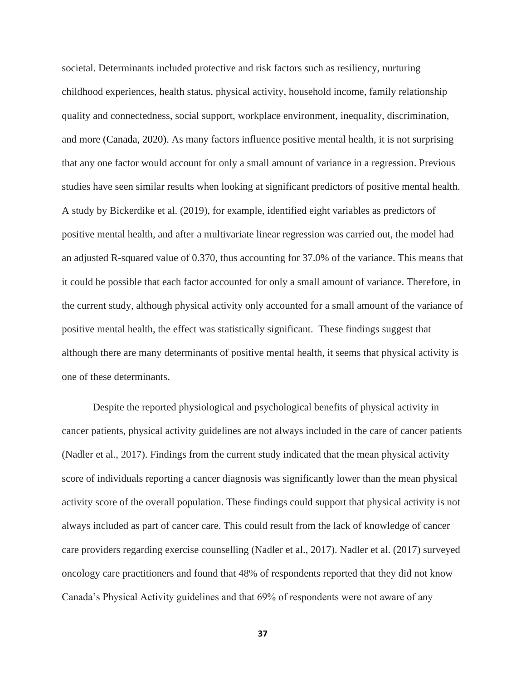societal. Determinants included protective and risk factors such as resiliency, nurturing childhood experiences, health status, physical activity, household income, family relationship quality and connectedness, social support, workplace environment, inequality, discrimination, and more (Canada, 2020). As many factors influence positive mental health, it is not surprising that any one factor would account for only a small amount of variance in a regression. Previous studies have seen similar results when looking at significant predictors of positive mental health. A study by Bickerdike et al. (2019), for example, identified eight variables as predictors of positive mental health, and after a multivariate linear regression was carried out, the model had an adjusted R-squared value of 0.370, thus accounting for 37.0% of the variance. This means that it could be possible that each factor accounted for only a small amount of variance. Therefore, in the current study, although physical activity only accounted for a small amount of the variance of positive mental health, the effect was statistically significant. These findings suggest that although there are many determinants of positive mental health, it seems that physical activity is one of these determinants.

Despite the reported physiological and psychological benefits of physical activity in cancer patients, physical activity guidelines are not always included in the care of cancer patients (Nadler et al., 2017). Findings from the current study indicated that the mean physical activity score of individuals reporting a cancer diagnosis was significantly lower than the mean physical activity score of the overall population. These findings could support that physical activity is not always included as part of cancer care. This could result from the lack of knowledge of cancer care providers regarding exercise counselling (Nadler et al., 2017). Nadler et al. (2017) surveyed oncology care practitioners and found that 48% of respondents reported that they did not know Canada's Physical Activity guidelines and that 69% of respondents were not aware of any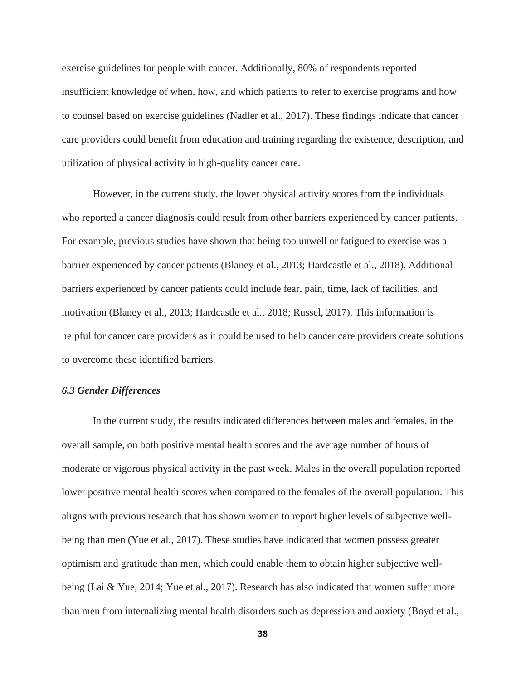exercise guidelines for people with cancer. Additionally, 80% of respondents reported insufficient knowledge of when, how, and which patients to refer to exercise programs and how to counsel based on exercise guidelines (Nadler et al., 2017). These findings indicate that cancer care providers could benefit from education and training regarding the existence, description, and utilization of physical activity in high-quality cancer care.

However, in the current study, the lower physical activity scores from the individuals who reported a cancer diagnosis could result from other barriers experienced by cancer patients. For example, previous studies have shown that being too unwell or fatigued to exercise was a barrier experienced by cancer patients (Blaney et al., 2013; Hardcastle et al., 2018). Additional barriers experienced by cancer patients could include fear, pain, time, lack of facilities, and motivation (Blaney et al., 2013; Hardcastle et al., 2018; Russel, 2017). This information is helpful for cancer care providers as it could be used to help cancer care providers create solutions to overcome these identified barriers.

## *6.3 Gender Differences*

In the current study, the results indicated differences between males and females, in the overall sample, on both positive mental health scores and the average number of hours of moderate or vigorous physical activity in the past week. Males in the overall population reported lower positive mental health scores when compared to the females of the overall population. This aligns with previous research that has shown women to report higher levels of subjective wellbeing than men (Yue et al., 2017). These studies have indicated that women possess greater optimism and gratitude than men, which could enable them to obtain higher subjective wellbeing (Lai & Yue, 2014; Yue et al., 2017). Research has also indicated that women suffer more than men from internalizing mental health disorders such as depression and anxiety (Boyd et al.,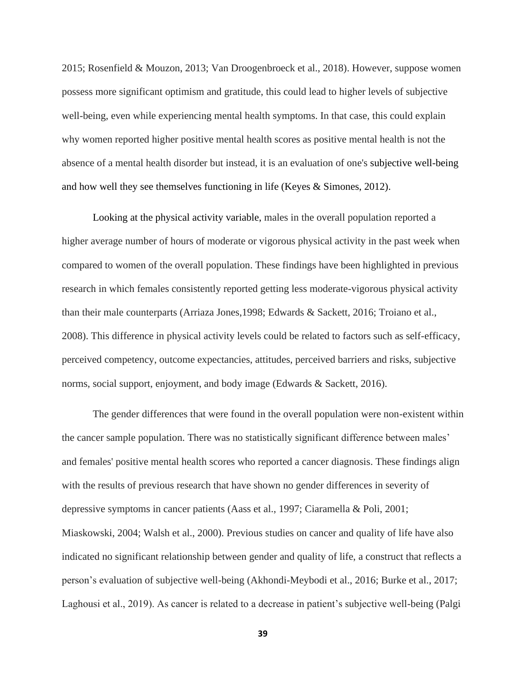2015; Rosenfield & Mouzon, 2013; Van Droogenbroeck et al., 2018). However, suppose women possess more significant optimism and gratitude, this could lead to higher levels of subjective well-being, even while experiencing mental health symptoms. In that case, this could explain why women reported higher positive mental health scores as positive mental health is not the absence of a mental health disorder but instead, it is an evaluation of one's subjective well-being and how well they see themselves functioning in life (Keyes & Simones, 2012).

Looking at the physical activity variable, males in the overall population reported a higher average number of hours of moderate or vigorous physical activity in the past week when compared to women of the overall population. These findings have been highlighted in previous research in which females consistently reported getting less moderate-vigorous physical activity than their male counterparts (Arriaza Jones,1998; Edwards & Sackett, 2016; Troiano et al., 2008). This difference in physical activity levels could be related to factors such as self-efficacy, perceived competency, outcome expectancies, attitudes, perceived barriers and risks, subjective norms, social support, enjoyment, and body image (Edwards & Sackett, 2016).

The gender differences that were found in the overall population were non-existent within the cancer sample population. There was no statistically significant difference between males' and females' positive mental health scores who reported a cancer diagnosis. These findings align with the results of previous research that have shown no gender differences in severity of depressive symptoms in cancer patients (Aass et al., 1997; Ciaramella & Poli, 2001; Miaskowski, 2004; Walsh et al., 2000). Previous studies on cancer and quality of life have also indicated no significant relationship between gender and quality of life, a construct that reflects a person's evaluation of subjective well-being (Akhondi-Meybodi et al., 2016; Burke et al., 2017; Laghousi et al., 2019). As cancer is related to a decrease in patient's subjective well-being (Palgi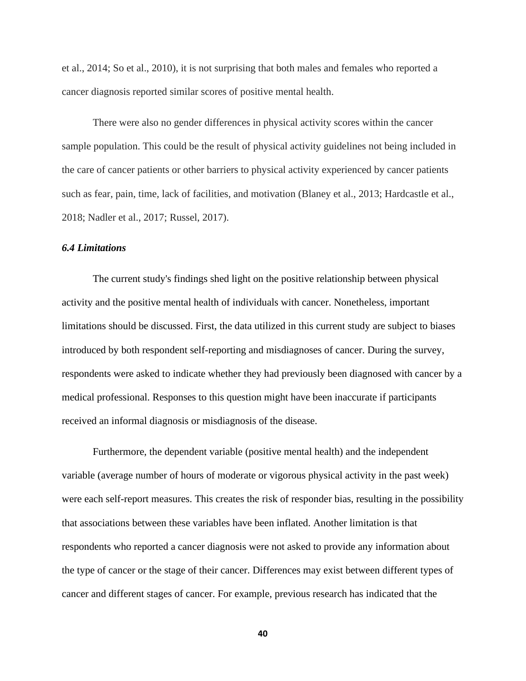et al., 2014; So et al., 2010), it is not surprising that both males and females who reported a cancer diagnosis reported similar scores of positive mental health.

There were also no gender differences in physical activity scores within the cancer sample population. This could be the result of physical activity guidelines not being included in the care of cancer patients or other barriers to physical activity experienced by cancer patients such as fear, pain, time, lack of facilities, and motivation (Blaney et al., 2013; Hardcastle et al., 2018; Nadler et al., 2017; Russel, 2017).

## *6.4 Limitations*

The current study's findings shed light on the positive relationship between physical activity and the positive mental health of individuals with cancer. Nonetheless, important limitations should be discussed. First, the data utilized in this current study are subject to biases introduced by both respondent self-reporting and misdiagnoses of cancer. During the survey, respondents were asked to indicate whether they had previously been diagnosed with cancer by a medical professional. Responses to this question might have been inaccurate if participants received an informal diagnosis or misdiagnosis of the disease.

Furthermore, the dependent variable (positive mental health) and the independent variable (average number of hours of moderate or vigorous physical activity in the past week) were each self-report measures. This creates the risk of responder bias, resulting in the possibility that associations between these variables have been inflated. Another limitation is that respondents who reported a cancer diagnosis were not asked to provide any information about the type of cancer or the stage of their cancer. Differences may exist between different types of cancer and different stages of cancer. For example, previous research has indicated that the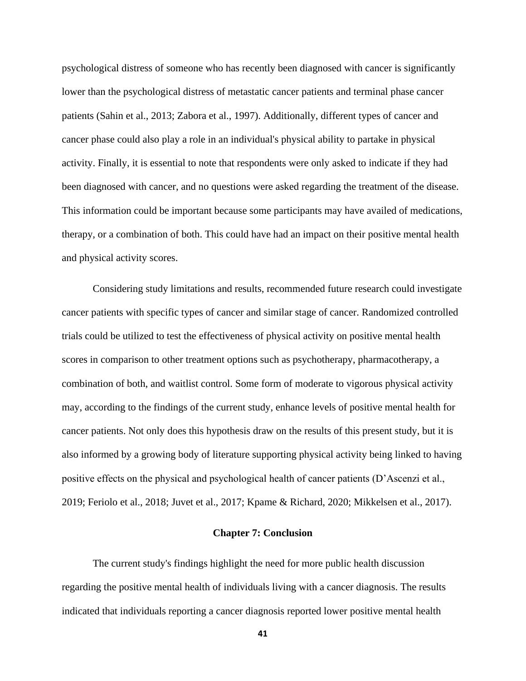psychological distress of someone who has recently been diagnosed with cancer is significantly lower than the psychological distress of metastatic cancer patients and terminal phase cancer patients (Sahin et al., 2013; Zabora et al., 1997). Additionally, different types of cancer and cancer phase could also play a role in an individual's physical ability to partake in physical activity. Finally, it is essential to note that respondents were only asked to indicate if they had been diagnosed with cancer, and no questions were asked regarding the treatment of the disease. This information could be important because some participants may have availed of medications, therapy, or a combination of both. This could have had an impact on their positive mental health and physical activity scores.

Considering study limitations and results, recommended future research could investigate cancer patients with specific types of cancer and similar stage of cancer. Randomized controlled trials could be utilized to test the effectiveness of physical activity on positive mental health scores in comparison to other treatment options such as psychotherapy, pharmacotherapy, a combination of both, and waitlist control. Some form of moderate to vigorous physical activity may, according to the findings of the current study, enhance levels of positive mental health for cancer patients. Not only does this hypothesis draw on the results of this present study, but it is also informed by a growing body of literature supporting physical activity being linked to having positive effects on the physical and psychological health of cancer patients (D'Ascenzi et al., 2019; Feriolo et al., 2018; Juvet et al., 2017; Kpame & Richard, 2020; Mikkelsen et al., 2017).

## **Chapter 7: Conclusion**

The current study's findings highlight the need for more public health discussion regarding the positive mental health of individuals living with a cancer diagnosis. The results indicated that individuals reporting a cancer diagnosis reported lower positive mental health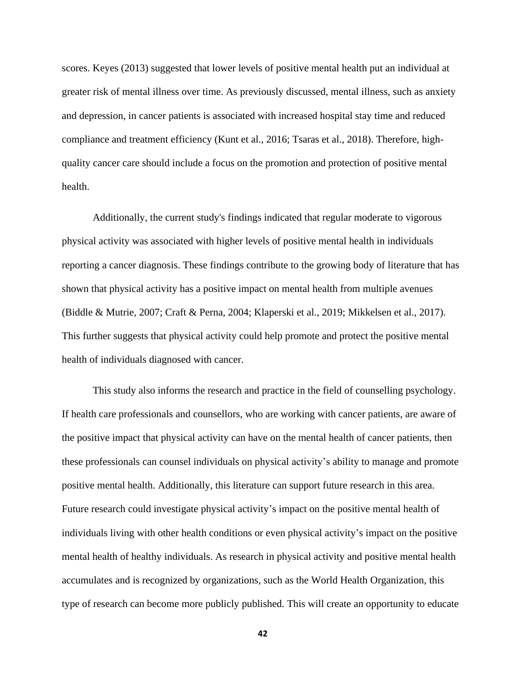scores. Keyes (2013) suggested that lower levels of positive mental health put an individual at greater risk of mental illness over time. As previously discussed, mental illness, such as anxiety and depression, in cancer patients is associated with increased hospital stay time and reduced compliance and treatment efficiency (Kunt et al., 2016; Tsaras et al., 2018). Therefore, highquality cancer care should include a focus on the promotion and protection of positive mental health.

Additionally, the current study's findings indicated that regular moderate to vigorous physical activity was associated with higher levels of positive mental health in individuals reporting a cancer diagnosis. These findings contribute to the growing body of literature that has shown that physical activity has a positive impact on mental health from multiple avenues (Biddle & Mutrie, 2007; Craft & Perna, 2004; Klaperski et al., 2019; Mikkelsen et al., 2017). This further suggests that physical activity could help promote and protect the positive mental health of individuals diagnosed with cancer.

This study also informs the research and practice in the field of counselling psychology. If health care professionals and counsellors, who are working with cancer patients, are aware of the positive impact that physical activity can have on the mental health of cancer patients, then these professionals can counsel individuals on physical activity's ability to manage and promote positive mental health. Additionally, this literature can support future research in this area. Future research could investigate physical activity's impact on the positive mental health of individuals living with other health conditions or even physical activity's impact on the positive mental health of healthy individuals. As research in physical activity and positive mental health accumulates and is recognized by organizations, such as the World Health Organization, this type of research can become more publicly published. This will create an opportunity to educate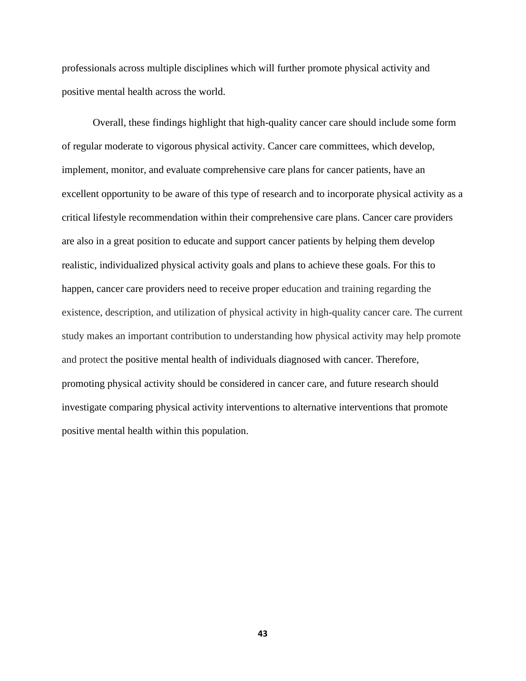professionals across multiple disciplines which will further promote physical activity and positive mental health across the world.

Overall, these findings highlight that high-quality cancer care should include some form of regular moderate to vigorous physical activity. Cancer care committees, which develop, implement, monitor, and evaluate comprehensive care plans for cancer patients, have an excellent opportunity to be aware of this type of research and to incorporate physical activity as a critical lifestyle recommendation within their comprehensive care plans. Cancer care providers are also in a great position to educate and support cancer patients by helping them develop realistic, individualized physical activity goals and plans to achieve these goals. For this to happen, cancer care providers need to receive proper education and training regarding the existence, description, and utilization of physical activity in high-quality cancer care. The current study makes an important contribution to understanding how physical activity may help promote and protect the positive mental health of individuals diagnosed with cancer. Therefore, promoting physical activity should be considered in cancer care, and future research should investigate comparing physical activity interventions to alternative interventions that promote positive mental health within this population.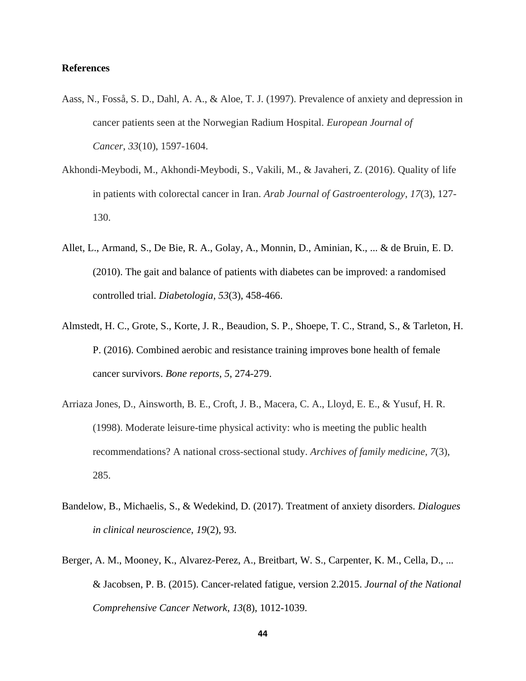## **References**

- Aass, N., Fosså, S. D., Dahl, A. A., & Aloe, T. J. (1997). Prevalence of anxiety and depression in cancer patients seen at the Norwegian Radium Hospital. *European Journal of Cancer*, *33*(10), 1597-1604.
- Akhondi-Meybodi, M., Akhondi-Meybodi, S., Vakili, M., & Javaheri, Z. (2016). Quality of life in patients with colorectal cancer in Iran. *Arab Journal of Gastroenterology*, *17*(3), 127- 130.
- Allet, L., Armand, S., De Bie, R. A., Golay, A., Monnin, D., Aminian, K., ... & de Bruin, E. D. (2010). The gait and balance of patients with diabetes can be improved: a randomised controlled trial. *Diabetologia*, *53*(3), 458-466.
- Almstedt, H. C., Grote, S., Korte, J. R., Beaudion, S. P., Shoepe, T. C., Strand, S., & Tarleton, H. P. (2016). Combined aerobic and resistance training improves bone health of female cancer survivors. *Bone reports*, *5*, 274-279.
- Arriaza Jones, D., Ainsworth, B. E., Croft, J. B., Macera, C. A., Lloyd, E. E., & Yusuf, H. R. (1998). Moderate leisure-time physical activity: who is meeting the public health recommendations? A national cross-sectional study. *Archives of family medicine*, *7*(3), 285.
- Bandelow, B., Michaelis, S., & Wedekind, D. (2017). Treatment of anxiety disorders. *Dialogues in clinical neuroscience*, *19*(2), 93.
- Berger, A. M., Mooney, K., Alvarez-Perez, A., Breitbart, W. S., Carpenter, K. M., Cella, D., ... & Jacobsen, P. B. (2015). Cancer-related fatigue, version 2.2015. *Journal of the National Comprehensive Cancer Network*, *13*(8), 1012-1039.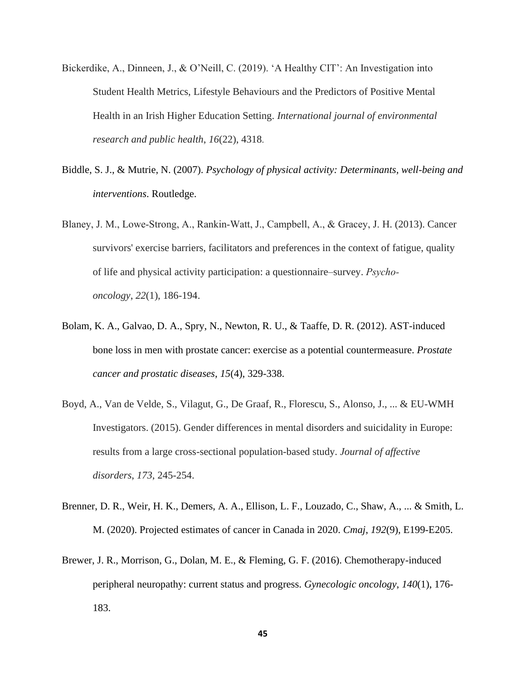- Bickerdike, A., Dinneen, J., & O'Neill, C. (2019). 'A Healthy CIT': An Investigation into Student Health Metrics, Lifestyle Behaviours and the Predictors of Positive Mental Health in an Irish Higher Education Setting. *International journal of environmental research and public health*, *16*(22), 4318.
- Biddle, S. J., & Mutrie, N. (2007). *Psychology of physical activity: Determinants, well-being and interventions*. Routledge.
- Blaney, J. M., Lowe‐Strong, A., Rankin‐Watt, J., Campbell, A., & Gracey, J. H. (2013). Cancer survivors' exercise barriers, facilitators and preferences in the context of fatigue, quality of life and physical activity participation: a questionnaire–survey. *Psycho‐ oncology*, *22*(1), 186-194.
- Bolam, K. A., Galvao, D. A., Spry, N., Newton, R. U., & Taaffe, D. R. (2012). AST-induced bone loss in men with prostate cancer: exercise as a potential countermeasure. *Prostate cancer and prostatic diseases*, *15*(4), 329-338.
- Boyd, A., Van de Velde, S., Vilagut, G., De Graaf, R., Florescu, S., Alonso, J., ... & EU-WMH Investigators. (2015). Gender differences in mental disorders and suicidality in Europe: results from a large cross-sectional population-based study. *Journal of affective disorders*, *173*, 245-254.
- Brenner, D. R., Weir, H. K., Demers, A. A., Ellison, L. F., Louzado, C., Shaw, A., ... & Smith, L. M. (2020). Projected estimates of cancer in Canada in 2020. *Cmaj*, *192*(9), E199-E205.
- Brewer, J. R., Morrison, G., Dolan, M. E., & Fleming, G. F. (2016). Chemotherapy-induced peripheral neuropathy: current status and progress. *Gynecologic oncology*, *140*(1), 176- 183.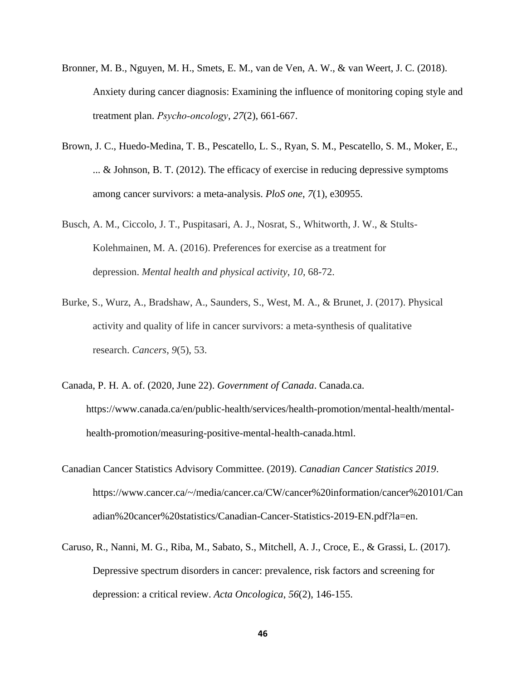- Bronner, M. B., Nguyen, M. H., Smets, E. M., van de Ven, A. W., & van Weert, J. C. (2018). Anxiety during cancer diagnosis: Examining the influence of monitoring coping style and treatment plan. *Psycho‐oncology*, *27*(2), 661-667.
- Brown, J. C., Huedo-Medina, T. B., Pescatello, L. S., Ryan, S. M., Pescatello, S. M., Moker, E., ... & Johnson, B. T. (2012). The efficacy of exercise in reducing depressive symptoms among cancer survivors: a meta-analysis. *PloS one*, *7*(1), e30955.
- Busch, A. M., Ciccolo, J. T., Puspitasari, A. J., Nosrat, S., Whitworth, J. W., & Stults-Kolehmainen, M. A. (2016). Preferences for exercise as a treatment for depression. *Mental health and physical activity*, *10*, 68-72.
- Burke, S., Wurz, A., Bradshaw, A., Saunders, S., West, M. A., & Brunet, J. (2017). Physical activity and quality of life in cancer survivors: a meta-synthesis of qualitative research. *Cancers*, *9*(5), 53.
- Canada, P. H. A. of. (2020, June 22). *Government of Canada*. Canada.ca. https://www.canada.ca/en/public-health/services/health-promotion/mental-health/mentalhealth-promotion/measuring-positive-mental-health-canada.html.
- Canadian Cancer Statistics Advisory Committee. (2019). *Canadian Cancer Statistics 2019*. https://www.cancer.ca/~/media/cancer.ca/CW/cancer%20information/cancer%20101/Can adian%20cancer%20statistics/Canadian-Cancer-Statistics-2019-EN.pdf?la=en.
- Caruso, R., Nanni, M. G., Riba, M., Sabato, S., Mitchell, A. J., Croce, E., & Grassi, L. (2017). Depressive spectrum disorders in cancer: prevalence, risk factors and screening for depression: a critical review. *Acta Oncologica*, *56*(2), 146-155.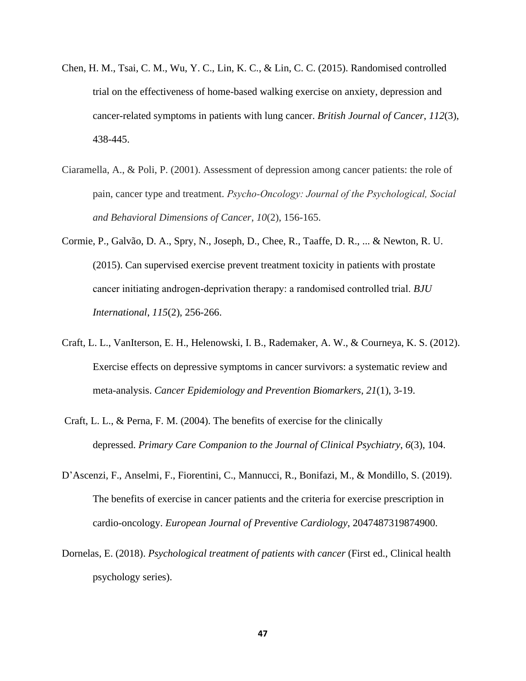- Chen, H. M., Tsai, C. M., Wu, Y. C., Lin, K. C., & Lin, C. C. (2015). Randomised controlled trial on the effectiveness of home-based walking exercise on anxiety, depression and cancer-related symptoms in patients with lung cancer. *British Journal of Cancer*, *112*(3), 438-445.
- Ciaramella, A., & Poli, P. (2001). Assessment of depression among cancer patients: the role of pain, cancer type and treatment. *Psycho‐Oncology: Journal of the Psychological, Social and Behavioral Dimensions of Cancer*, *10*(2), 156-165.
- Cormie, P., Galvão, D. A., Spry, N., Joseph, D., Chee, R., Taaffe, D. R., ... & Newton, R. U. (2015). Can supervised exercise prevent treatment toxicity in patients with prostate cancer initiating androgen‐deprivation therapy: a randomised controlled trial. *BJU International*, *115*(2), 256-266.
- Craft, L. L., VanIterson, E. H., Helenowski, I. B., Rademaker, A. W., & Courneya, K. S. (2012). Exercise effects on depressive symptoms in cancer survivors: a systematic review and meta-analysis. *Cancer Epidemiology and Prevention Biomarkers*, *21*(1), 3-19.
- Craft, L. L., & Perna, F. M. (2004). The benefits of exercise for the clinically depressed. *Primary Care Companion to the Journal of Clinical Psychiatry*, *6*(3), 104.
- D'Ascenzi, F., Anselmi, F., Fiorentini, C., Mannucci, R., Bonifazi, M., & Mondillo, S. (2019). The benefits of exercise in cancer patients and the criteria for exercise prescription in cardio-oncology. *European Journal of Preventive Cardiology*, 2047487319874900.
- Dornelas, E. (2018). *Psychological treatment of patients with cancer* (First ed., Clinical health psychology series).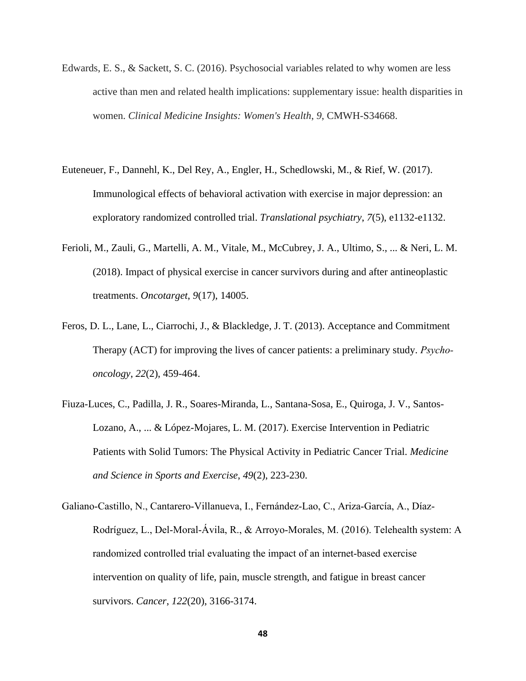- Edwards, E. S., & Sackett, S. C. (2016). Psychosocial variables related to why women are less active than men and related health implications: supplementary issue: health disparities in women. *Clinical Medicine Insights: Women's Health*, *9*, CMWH-S34668.
- Euteneuer, F., Dannehl, K., Del Rey, A., Engler, H., Schedlowski, M., & Rief, W. (2017). Immunological effects of behavioral activation with exercise in major depression: an exploratory randomized controlled trial. *Translational psychiatry*, *7*(5), e1132-e1132.
- Ferioli, M., Zauli, G., Martelli, A. M., Vitale, M., McCubrey, J. A., Ultimo, S., ... & Neri, L. M. (2018). Impact of physical exercise in cancer survivors during and after antineoplastic treatments. *Oncotarget*, *9*(17), 14005.
- Feros, D. L., Lane, L., Ciarrochi, J., & Blackledge, J. T. (2013). Acceptance and Commitment Therapy (ACT) for improving the lives of cancer patients: a preliminary study. *Psycho‐ oncology*, *22*(2), 459-464.
- Fiuza-Luces, C., Padilla, J. R., Soares-Miranda, L., Santana-Sosa, E., Quiroga, J. V., Santos-Lozano, A., ... & López-Mojares, L. M. (2017). Exercise Intervention in Pediatric Patients with Solid Tumors: The Physical Activity in Pediatric Cancer Trial. *Medicine and Science in Sports and Exercise*, *49*(2), 223-230.
- Galiano‐Castillo, N., Cantarero‐Villanueva, I., Fernández‐Lao, C., Ariza‐García, A., Díaz‐ Rodríguez, L., Del‐Moral‐Ávila, R., & Arroyo‐Morales, M. (2016). Telehealth system: A randomized controlled trial evaluating the impact of an internet-based exercise intervention on quality of life, pain, muscle strength, and fatigue in breast cancer survivors. *Cancer*, *122*(20), 3166-3174.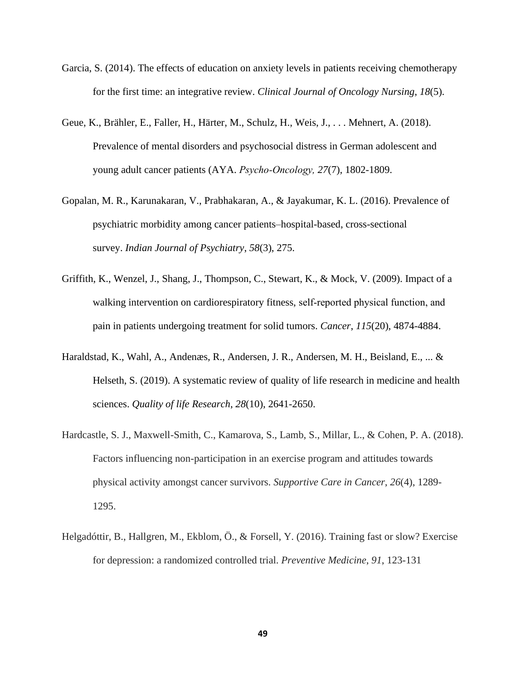- Garcia, S. (2014). The effects of education on anxiety levels in patients receiving chemotherapy for the first time: an integrative review. *Clinical Journal of Oncology Nursing*, *18*(5).
- Geue, K., Brähler, E., Faller, H., Härter, M., Schulz, H., Weis, J., . . . Mehnert, A. (2018). Prevalence of mental disorders and psychosocial distress in German adolescent and young adult cancer patients (AYA. *Psycho‐Oncology, 27*(7), 1802-1809.
- Gopalan, M. R., Karunakaran, V., Prabhakaran, A., & Jayakumar, K. L. (2016). Prevalence of psychiatric morbidity among cancer patients–hospital-based, cross-sectional survey. *Indian Journal of Psychiatry*, *58*(3), 275.
- Griffith, K., Wenzel, J., Shang, J., Thompson, C., Stewart, K., & Mock, V. (2009). Impact of a walking intervention on cardiorespiratory fitness, self-reported physical function, and pain in patients undergoing treatment for solid tumors. *Cancer*, *115*(20), 4874-4884.
- Haraldstad, K., Wahl, A., Andenæs, R., Andersen, J. R., Andersen, M. H., Beisland, E., ... & Helseth, S. (2019). A systematic review of quality of life research in medicine and health sciences. *Quality of life Research*, *28*(10), 2641-2650.
- Hardcastle, S. J., Maxwell-Smith, C., Kamarova, S., Lamb, S., Millar, L., & Cohen, P. A. (2018). Factors influencing non-participation in an exercise program and attitudes towards physical activity amongst cancer survivors. *Supportive Care in Cancer*, *26*(4), 1289- 1295.
- Helgadóttir, B., Hallgren, M., Ekblom, Ö., & Forsell, Y. (2016). Training fast or slow? Exercise for depression: a randomized controlled trial. *Preventive Medicine*, *91*, 123-131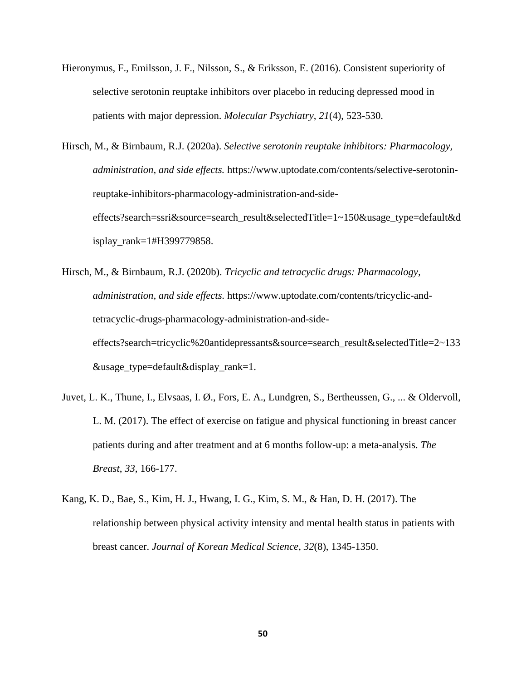Hieronymus, F., Emilsson, J. F., Nilsson, S., & Eriksson, E. (2016). Consistent superiority of selective serotonin reuptake inhibitors over placebo in reducing depressed mood in patients with major depression. *Molecular Psychiatry*, *21*(4), 523-530.

Hirsch, M., & Birnbaum, R.J. (2020a). *Selective serotonin reuptake inhibitors: Pharmacology, administration, and side effects.* https://www.uptodate.com/contents/selective-serotoninreuptake-inhibitors-pharmacology-administration-and-sideeffects?search=ssri&source=search\_result&selectedTitle=1~150&usage\_type=default&d isplay\_rank=1#H399779858.

- Hirsch, M., & Birnbaum, R.J. (2020b). *Tricyclic and tetracyclic drugs: Pharmacology, administration, and side effects.* https://www.uptodate.com/contents/tricyclic-andtetracyclic-drugs-pharmacology-administration-and-sideeffects?search=tricyclic%20antidepressants&source=search\_result&selectedTitle=2~133 &usage\_type=default&display\_rank=1.
- Juvet, L. K., Thune, I., Elvsaas, I. Ø., Fors, E. A., Lundgren, S., Bertheussen, G., ... & Oldervoll, L. M. (2017). The effect of exercise on fatigue and physical functioning in breast cancer patients during and after treatment and at 6 months follow-up: a meta-analysis. *The Breast*, *33*, 166-177.
- Kang, K. D., Bae, S., Kim, H. J., Hwang, I. G., Kim, S. M., & Han, D. H. (2017). The relationship between physical activity intensity and mental health status in patients with breast cancer. *Journal of Korean Medical Science*, *32*(8), 1345-1350.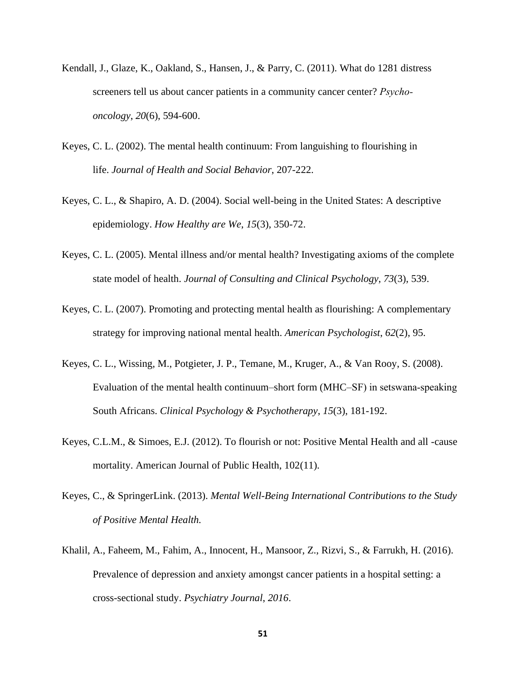- Kendall, J., Glaze, K., Oakland, S., Hansen, J., & Parry, C. (2011). What do 1281 distress screeners tell us about cancer patients in a community cancer center? *Psycho‐ oncology*, *20*(6), 594-600.
- Keyes, C. L. (2002). The mental health continuum: From languishing to flourishing in life. *Journal of Health and Social Behavior*, 207-222.
- Keyes, C. L., & Shapiro, A. D. (2004). Social well-being in the United States: A descriptive epidemiology. *How Healthy are We*, *15*(3), 350-72.
- Keyes, C. L. (2005). Mental illness and/or mental health? Investigating axioms of the complete state model of health. *Journal of Consulting and Clinical Psychology*, *73*(3), 539.
- Keyes, C. L. (2007). Promoting and protecting mental health as flourishing: A complementary strategy for improving national mental health. *American Psychologist*, *62*(2), 95.
- Keyes, C. L., Wissing, M., Potgieter, J. P., Temane, M., Kruger, A., & Van Rooy, S. (2008). Evaluation of the mental health continuum–short form (MHC–SF) in setswana‐speaking South Africans. *Clinical Psychology & Psychotherapy*, *15*(3), 181-192.
- Keyes, C.L.M., & Simoes, E.J. (2012). To flourish or not: Positive Mental Health and all -cause mortality. American Journal of Public Health, 102(11).
- Keyes, C., & SpringerLink. (2013). *Mental Well-Being International Contributions to the Study of Positive Mental Health.*
- Khalil, A., Faheem, M., Fahim, A., Innocent, H., Mansoor, Z., Rizvi, S., & Farrukh, H. (2016). Prevalence of depression and anxiety amongst cancer patients in a hospital setting: a cross-sectional study. *Psychiatry Journal*, *2016*.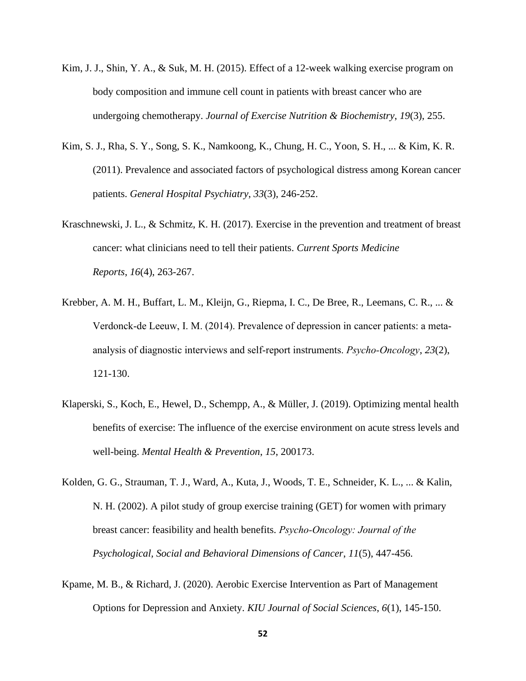- Kim, J. J., Shin, Y. A., & Suk, M. H. (2015). Effect of a 12-week walking exercise program on body composition and immune cell count in patients with breast cancer who are undergoing chemotherapy. *Journal of Exercise Nutrition & Biochemistry*, *19*(3), 255.
- Kim, S. J., Rha, S. Y., Song, S. K., Namkoong, K., Chung, H. C., Yoon, S. H., ... & Kim, K. R. (2011). Prevalence and associated factors of psychological distress among Korean cancer patients. *General Hospital Psychiatry*, *33*(3), 246-252.
- Kraschnewski, J. L., & Schmitz, K. H. (2017). Exercise in the prevention and treatment of breast cancer: what clinicians need to tell their patients. *Current Sports Medicine Reports*, *16*(4), 263-267.
- Krebber, A. M. H., Buffart, L. M., Kleijn, G., Riepma, I. C., De Bree, R., Leemans, C. R., ... & Verdonck‐de Leeuw, I. M. (2014). Prevalence of depression in cancer patients: a meta‐ analysis of diagnostic interviews and self‐report instruments. *Psycho‐Oncology*, *23*(2), 121-130.
- Klaperski, S., Koch, E., Hewel, D., Schempp, A., & Müller, J. (2019). Optimizing mental health benefits of exercise: The influence of the exercise environment on acute stress levels and well-being. *Mental Health & Prevention*, *15*, 200173.
- Kolden, G. G., Strauman, T. J., Ward, A., Kuta, J., Woods, T. E., Schneider, K. L., ... & Kalin, N. H. (2002). A pilot study of group exercise training (GET) for women with primary breast cancer: feasibility and health benefits. *Psycho‐Oncology: Journal of the Psychological, Social and Behavioral Dimensions of Cancer*, *11*(5), 447-456.
- Kpame, M. B., & Richard, J. (2020). Aerobic Exercise Intervention as Part of Management Options for Depression and Anxiety. *KIU Journal of Social Sciences*, *6*(1), 145-150.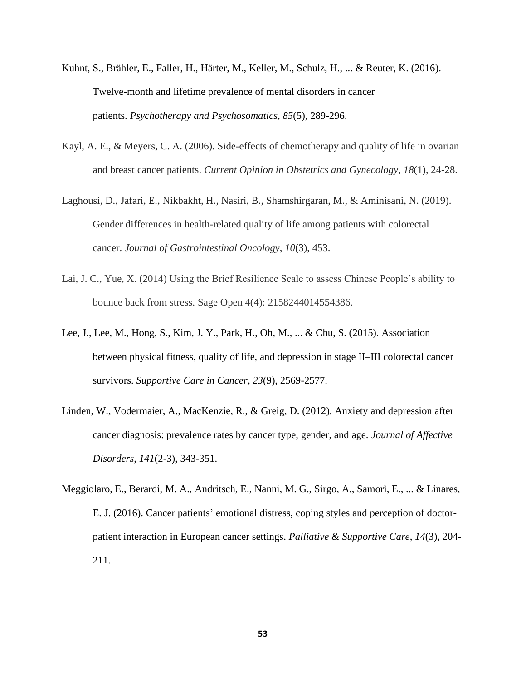- Kuhnt, S., Brähler, E., Faller, H., Härter, M., Keller, M., Schulz, H., ... & Reuter, K. (2016). Twelve-month and lifetime prevalence of mental disorders in cancer patients. *Psychotherapy and Psychosomatics*, *85*(5), 289-296.
- Kayl, A. E., & Meyers, C. A. (2006). Side-effects of chemotherapy and quality of life in ovarian and breast cancer patients. *Current Opinion in Obstetrics and Gynecology*, *18*(1), 24-28.
- Laghousi, D., Jafari, E., Nikbakht, H., Nasiri, B., Shamshirgaran, M., & Aminisani, N. (2019). Gender differences in health-related quality of life among patients with colorectal cancer. *Journal of Gastrointestinal Oncology*, *10*(3), 453.
- Lai, J. C., Yue, X. (2014) Using the Brief Resilience Scale to assess Chinese People's ability to bounce back from stress. Sage Open 4(4): 2158244014554386.
- Lee, J., Lee, M., Hong, S., Kim, J. Y., Park, H., Oh, M., ... & Chu, S. (2015). Association between physical fitness, quality of life, and depression in stage II–III colorectal cancer survivors. *Supportive Care in Cancer*, *23*(9), 2569-2577.
- Linden, W., Vodermaier, A., MacKenzie, R., & Greig, D. (2012). Anxiety and depression after cancer diagnosis: prevalence rates by cancer type, gender, and age. *Journal of Affective Disorders*, *141*(2-3), 343-351.
- Meggiolaro, E., Berardi, M. A., Andritsch, E., Nanni, M. G., Sirgo, A., Samorì, E., ... & Linares, E. J. (2016). Cancer patients' emotional distress, coping styles and perception of doctorpatient interaction in European cancer settings. *Palliative & Supportive Care*, *14*(3), 204- 211.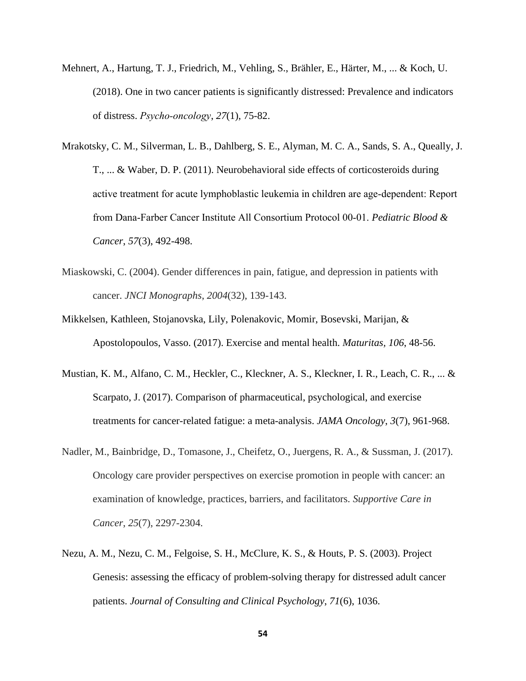- Mehnert, A., Hartung, T. J., Friedrich, M., Vehling, S., Brähler, E., Härter, M., ... & Koch, U. (2018). One in two cancer patients is significantly distressed: Prevalence and indicators of distress. *Psycho‐oncology*, *27*(1), 75-82.
- Mrakotsky, C. M., Silverman, L. B., Dahlberg, S. E., Alyman, M. C. A., Sands, S. A., Queally, J. T., ... & Waber, D. P. (2011). Neurobehavioral side effects of corticosteroids during active treatment for acute lymphoblastic leukemia in children are age‐dependent: Report from Dana‐Farber Cancer Institute All Consortium Protocol 00‐01. *Pediatric Blood & Cancer*, *57*(3), 492-498.
- Miaskowski, C. (2004). Gender differences in pain, fatigue, and depression in patients with cancer. *JNCI Monographs*, *2004*(32), 139-143.
- Mikkelsen, Kathleen, Stojanovska, Lily, Polenakovic, Momir, Bosevski, Marijan, & Apostolopoulos, Vasso. (2017). Exercise and mental health. *Maturitas, 106*, 48-56.
- Mustian, K. M., Alfano, C. M., Heckler, C., Kleckner, A. S., Kleckner, I. R., Leach, C. R., ... & Scarpato, J. (2017). Comparison of pharmaceutical, psychological, and exercise treatments for cancer-related fatigue: a meta-analysis. *JAMA Oncology*, *3*(7), 961-968.
- Nadler, M., Bainbridge, D., Tomasone, J., Cheifetz, O., Juergens, R. A., & Sussman, J. (2017). Oncology care provider perspectives on exercise promotion in people with cancer: an examination of knowledge, practices, barriers, and facilitators. *Supportive Care in Cancer*, *25*(7), 2297-2304.
- Nezu, A. M., Nezu, C. M., Felgoise, S. H., McClure, K. S., & Houts, P. S. (2003). Project Genesis: assessing the efficacy of problem-solving therapy for distressed adult cancer patients. *Journal of Consulting and Clinical Psychology*, *71*(6), 1036.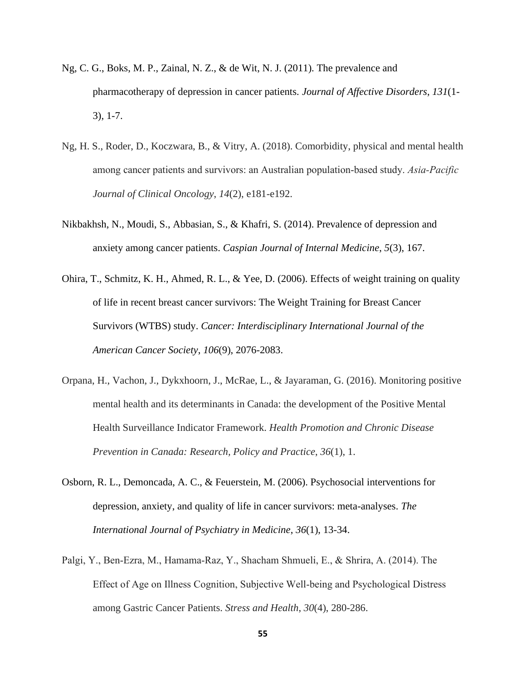- Ng, C. G., Boks, M. P., Zainal, N. Z., & de Wit, N. J. (2011). The prevalence and pharmacotherapy of depression in cancer patients. *Journal of Affective Disorders*, *131*(1- 3), 1-7.
- Ng, H. S., Roder, D., Koczwara, B., & Vitry, A. (2018). Comorbidity, physical and mental health among cancer patients and survivors: an Australian population‐based study. *Asia‐Pacific Journal of Clinical Oncology*, *14*(2), e181-e192.
- Nikbakhsh, N., Moudi, S., Abbasian, S., & Khafri, S. (2014). Prevalence of depression and anxiety among cancer patients. *Caspian Journal of Internal Medicine*, *5*(3), 167.
- Ohira, T., Schmitz, K. H., Ahmed, R. L., & Yee, D. (2006). Effects of weight training on quality of life in recent breast cancer survivors: The Weight Training for Breast Cancer Survivors (WTBS) study. *Cancer: Interdisciplinary International Journal of the American Cancer Society*, *106*(9), 2076-2083.
- Orpana, H., Vachon, J., Dykxhoorn, J., McRae, L., & Jayaraman, G. (2016). Monitoring positive mental health and its determinants in Canada: the development of the Positive Mental Health Surveillance Indicator Framework. *Health Promotion and Chronic Disease Prevention in Canada: Research, Policy and Practice*, *36*(1), 1.
- Osborn, R. L., Demoncada, A. C., & Feuerstein, M. (2006). Psychosocial interventions for depression, anxiety, and quality of life in cancer survivors: meta-analyses. *The International Journal of Psychiatry in Medicine*, *36*(1), 13-34.
- Palgi, Y., Ben‐Ezra, M., Hamama‐Raz, Y., Shacham Shmueli, E., & Shrira, A. (2014). The Effect of Age on Illness Cognition, Subjective Well‐being and Psychological Distress among Gastric Cancer Patients. *Stress and Health*, *30*(4), 280-286.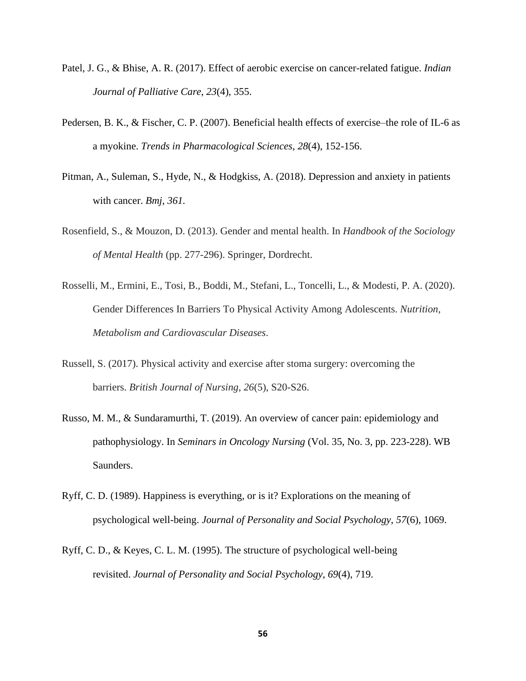- Patel, J. G., & Bhise, A. R. (2017). Effect of aerobic exercise on cancer-related fatigue. *Indian Journal of Palliative Care*, *23*(4), 355.
- Pedersen, B. K., & Fischer, C. P. (2007). Beneficial health effects of exercise–the role of IL-6 as a myokine. *Trends in Pharmacological Sciences*, *28*(4), 152-156.
- Pitman, A., Suleman, S., Hyde, N., & Hodgkiss, A. (2018). Depression and anxiety in patients with cancer. *Bmj*, *361.*
- Rosenfield, S., & Mouzon, D. (2013). Gender and mental health. In *Handbook of the Sociology of Mental Health* (pp. 277-296). Springer, Dordrecht.
- Rosselli, M., Ermini, E., Tosi, B., Boddi, M., Stefani, L., Toncelli, L., & Modesti, P. A. (2020). Gender Differences In Barriers To Physical Activity Among Adolescents. *Nutrition, Metabolism and Cardiovascular Diseases*.
- Russell, S. (2017). Physical activity and exercise after stoma surgery: overcoming the barriers. *British Journal of Nursing*, *26*(5), S20-S26.
- Russo, M. M., & Sundaramurthi, T. (2019). An overview of cancer pain: epidemiology and pathophysiology. In *Seminars in Oncology Nursing* (Vol. 35, No. 3, pp. 223-228). WB Saunders.
- Ryff, C. D. (1989). Happiness is everything, or is it? Explorations on the meaning of psychological well-being. *Journal of Personality and Social Psychology*, *57*(6), 1069.
- Ryff, C. D., & Keyes, C. L. M. (1995). The structure of psychological well-being revisited. *Journal of Personality and Social Psychology*, *69*(4), 719.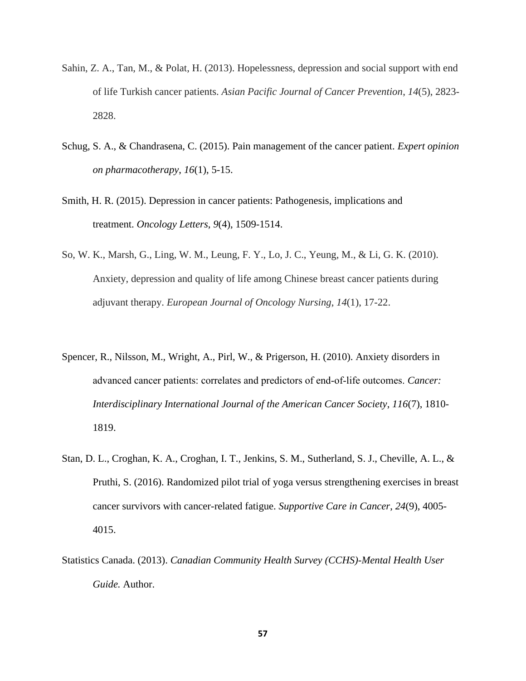- Sahin, Z. A., Tan, M., & Polat, H. (2013). Hopelessness, depression and social support with end of life Turkish cancer patients. *Asian Pacific Journal of Cancer Prevention*, *14*(5), 2823- 2828.
- Schug, S. A., & Chandrasena, C. (2015). Pain management of the cancer patient. *Expert opinion on pharmacotherapy*, *16*(1), 5-15.
- Smith, H. R. (2015). Depression in cancer patients: Pathogenesis, implications and treatment. *Oncology Letters*, *9*(4), 1509-1514.
- So, W. K., Marsh, G., Ling, W. M., Leung, F. Y., Lo, J. C., Yeung, M., & Li, G. K. (2010). Anxiety, depression and quality of life among Chinese breast cancer patients during adjuvant therapy. *European Journal of Oncology Nursing*, *14*(1), 17-22.
- Spencer, R., Nilsson, M., Wright, A., Pirl, W., & Prigerson, H. (2010). Anxiety disorders in advanced cancer patients: correlates and predictors of end‐of‐life outcomes. *Cancer: Interdisciplinary International Journal of the American Cancer Society*, *116*(7), 1810- 1819.
- Stan, D. L., Croghan, K. A., Croghan, I. T., Jenkins, S. M., Sutherland, S. J., Cheville, A. L., & Pruthi, S. (2016). Randomized pilot trial of yoga versus strengthening exercises in breast cancer survivors with cancer-related fatigue. *Supportive Care in Cancer*, *24*(9), 4005- 4015.
- Statistics Canada. (2013). *Canadian Community Health Survey (CCHS)-Mental Health User Guide.* Author.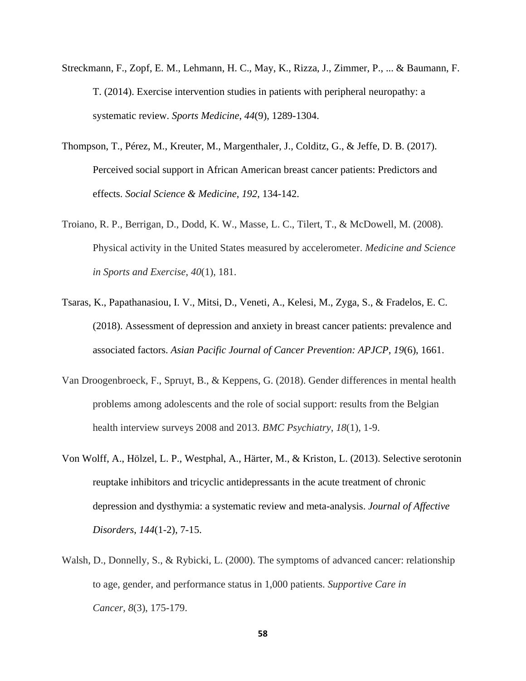- Streckmann, F., Zopf, E. M., Lehmann, H. C., May, K., Rizza, J., Zimmer, P., ... & Baumann, F. T. (2014). Exercise intervention studies in patients with peripheral neuropathy: a systematic review. *Sports Medicine*, *44*(9), 1289-1304.
- Thompson, T., Pérez, M., Kreuter, M., Margenthaler, J., Colditz, G., & Jeffe, D. B. (2017). Perceived social support in African American breast cancer patients: Predictors and effects. *Social Science & Medicine*, *192*, 134-142.
- Troiano, R. P., Berrigan, D., Dodd, K. W., Masse, L. C., Tilert, T., & McDowell, M. (2008). Physical activity in the United States measured by accelerometer. *Medicine and Science in Sports and Exercise*, *40*(1), 181.
- Tsaras, K., Papathanasiou, I. V., Mitsi, D., Veneti, A., Kelesi, M., Zyga, S., & Fradelos, E. C. (2018). Assessment of depression and anxiety in breast cancer patients: prevalence and associated factors. *Asian Pacific Journal of Cancer Prevention: APJCP*, *19*(6), 1661.
- Van Droogenbroeck, F., Spruyt, B., & Keppens, G. (2018). Gender differences in mental health problems among adolescents and the role of social support: results from the Belgian health interview surveys 2008 and 2013. *BMC Psychiatry*, *18*(1), 1-9.
- Von Wolff, A., Hölzel, L. P., Westphal, A., Härter, M., & Kriston, L. (2013). Selective serotonin reuptake inhibitors and tricyclic antidepressants in the acute treatment of chronic depression and dysthymia: a systematic review and meta-analysis. *Journal of Affective Disorders*, *144*(1-2), 7-15.
- Walsh, D., Donnelly, S., & Rybicki, L. (2000). The symptoms of advanced cancer: relationship to age, gender, and performance status in 1,000 patients. *Supportive Care in Cancer*, *8*(3), 175-179.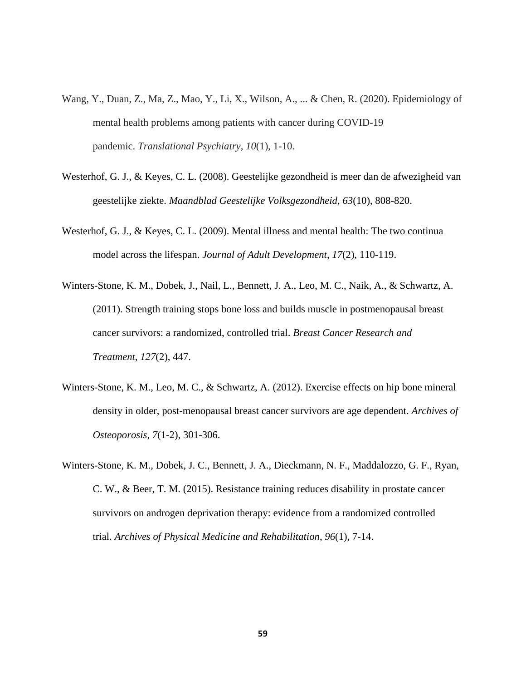- Wang, Y., Duan, Z., Ma, Z., Mao, Y., Li, X., Wilson, A., ... & Chen, R. (2020). Epidemiology of mental health problems among patients with cancer during COVID-19 pandemic. *Translational Psychiatry*, *10*(1), 1-10.
- Westerhof, G. J., & Keyes, C. L. (2008). Geestelijke gezondheid is meer dan de afwezigheid van geestelijke ziekte. *Maandblad Geestelijke Volksgezondheid, 63*(10), 808-820.
- Westerhof, G. J., & Keyes, C. L. (2009). Mental illness and mental health: The two continua model across the lifespan. *Journal of Adult Development*, *17*(2), 110-119.
- Winters-Stone, K. M., Dobek, J., Nail, L., Bennett, J. A., Leo, M. C., Naik, A., & Schwartz, A. (2011). Strength training stops bone loss and builds muscle in postmenopausal breast cancer survivors: a randomized, controlled trial. *Breast Cancer Research and Treatment*, *127*(2), 447.
- Winters-Stone, K. M., Leo, M. C., & Schwartz, A. (2012). Exercise effects on hip bone mineral density in older, post-menopausal breast cancer survivors are age dependent. *Archives of Osteoporosis*, *7*(1-2), 301-306.
- Winters-Stone, K. M., Dobek, J. C., Bennett, J. A., Dieckmann, N. F., Maddalozzo, G. F., Ryan, C. W., & Beer, T. M. (2015). Resistance training reduces disability in prostate cancer survivors on androgen deprivation therapy: evidence from a randomized controlled trial. *Archives of Physical Medicine and Rehabilitation*, *96*(1), 7-14.